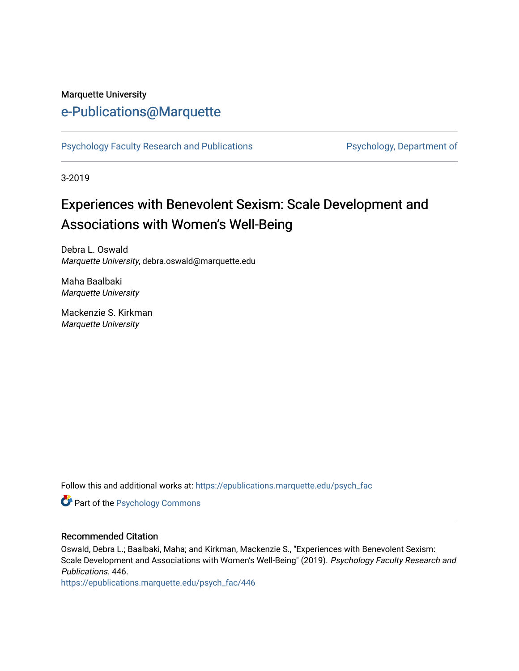## Marquette University

## [e-Publications@Marquette](https://epublications.marquette.edu/)

[Psychology Faculty Research and Publications](https://epublications.marquette.edu/psych_fac) **Properties Psychology, Department of** 

3-2019

# Experiences with Benevolent Sexism: Scale Development and Associations with Women's Well-Being

Debra L. Oswald Marquette University, debra.oswald@marquette.edu

Maha Baalbaki Marquette University

Mackenzie S. Kirkman Marquette University

Follow this and additional works at: [https://epublications.marquette.edu/psych\\_fac](https://epublications.marquette.edu/psych_fac?utm_source=epublications.marquette.edu%2Fpsych_fac%2F446&utm_medium=PDF&utm_campaign=PDFCoverPages)

Part of the [Psychology Commons](http://network.bepress.com/hgg/discipline/404?utm_source=epublications.marquette.edu%2Fpsych_fac%2F446&utm_medium=PDF&utm_campaign=PDFCoverPages) 

#### Recommended Citation

Oswald, Debra L.; Baalbaki, Maha; and Kirkman, Mackenzie S., "Experiences with Benevolent Sexism: Scale Development and Associations with Women's Well-Being" (2019). Psychology Faculty Research and Publications. 446.

[https://epublications.marquette.edu/psych\\_fac/446](https://epublications.marquette.edu/psych_fac/446?utm_source=epublications.marquette.edu%2Fpsych_fac%2F446&utm_medium=PDF&utm_campaign=PDFCoverPages)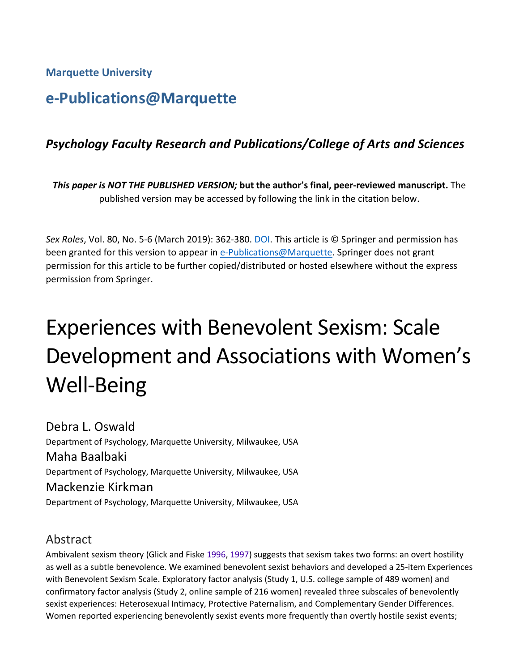**Marquette University**

## **e-Publications@Marquette**

## *Psychology Faculty Research and Publications/College of Arts and Sciences*

*This paper is NOT THE PUBLISHED VERSION;* **but the author's final, peer-reviewed manuscript.** The published version may be accessed by following the link in the citation below.

*Sex Roles*, Vol. 80, No. 5-6 (March 2019): 362-380. DOI. This article is © Springer and permission has been granted for this version to appear in [e-Publications@Marquette.](http://epublications.marquette.edu/) Springer does not grant permission for this article to be further copied/distributed or hosted elsewhere without the express permission from Springer.

# Experiences with Benevolent Sexism: Scale Development and Associations with Women's Well-Being

Debra L. Oswald Department of Psychology, Marquette University, Milwaukee, USA Maha Baalbaki Department of Psychology, Marquette University, Milwaukee, USA Mackenzie Kirkman Department of Psychology, Marquette University, Milwaukee, USA

## Abstract

Ambivalent sexism theory (Glick and Fiske [1996,](https://link.springer.com/article/10.1007/s11199-018-0933-5#CR23) [1997\)](https://link.springer.com/article/10.1007/s11199-018-0933-5#CR24) suggests that sexism takes two forms: an overt hostility as well as a subtle benevolence. We examined benevolent sexist behaviors and developed a 25-item Experiences with Benevolent Sexism Scale. Exploratory factor analysis (Study 1, U.S. college sample of 489 women) and confirmatory factor analysis (Study 2, online sample of 216 women) revealed three subscales of benevolently sexist experiences: Heterosexual Intimacy, Protective Paternalism, and Complementary Gender Differences. Women reported experiencing benevolently sexist events more frequently than overtly hostile sexist events;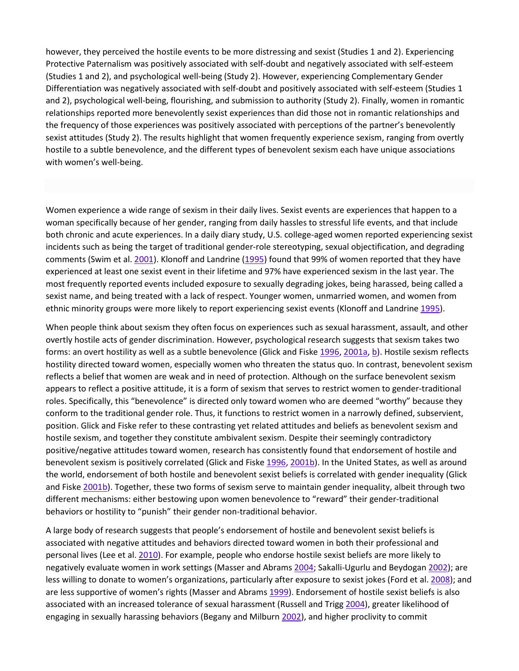however, they perceived the hostile events to be more distressing and sexist (Studies 1 and 2). Experiencing Protective Paternalism was positively associated with self-doubt and negatively associated with self-esteem (Studies 1 and 2), and psychological well-being (Study 2). However, experiencing Complementary Gender Differentiation was negatively associated with self-doubt and positively associated with self-esteem (Studies 1 and 2), psychological well-being, flourishing, and submission to authority (Study 2). Finally, women in romantic relationships reported more benevolently sexist experiences than did those not in romantic relationships and the frequency of those experiences was positively associated with perceptions of the partner's benevolently sexist attitudes (Study 2). The results highlight that women frequently experience sexism, ranging from overtly hostile to a subtle benevolence, and the different types of benevolent sexism each have unique associations with women's well-being.

Women experience a wide range of sexism in their daily lives. Sexist events are experiences that happen to a woman specifically because of her gender, ranging from daily hassles to stressful life events, and that include both chronic and acute experiences. In a daily diary study, U.S. college-aged women reported experiencing sexist incidents such as being the target of traditional gender-role stereotyping, sexual objectification, and degrading comments (Swim et al. [2001\)](https://link.springer.com/article/10.1007/s11199-018-0933-5#CR62). Klonoff and Landrine [\(1995\)](https://link.springer.com/article/10.1007/s11199-018-0933-5#CR37) found that 99% of women reported that they have experienced at least one sexist event in their lifetime and 97% have experienced sexism in the last year. The most frequently reported events included exposure to sexually degrading jokes, being harassed, being called a sexist name, and being treated with a lack of respect. Younger women, unmarried women, and women from ethnic minority groups were more likely to report experiencing sexist events (Klonoff and Landrine [1995\)](https://link.springer.com/article/10.1007/s11199-018-0933-5#CR37).

When people think about sexism they often focus on experiences such as sexual harassment, assault, and other overtly hostile acts of gender discrimination. However, psychological research suggests that sexism takes two forms: an overt hostility as well as a subtle benevolence (Glick and Fiske [1996,](https://link.springer.com/article/10.1007/s11199-018-0933-5#CR23) [2001a,](https://link.springer.com/article/10.1007/s11199-018-0933-5#CR25) [b\)](https://link.springer.com/article/10.1007/s11199-018-0933-5#CR26). Hostile sexism reflects hostility directed toward women, especially women who threaten the status quo. In contrast, benevolent sexism reflects a belief that women are weak and in need of protection. Although on the surface benevolent sexism appears to reflect a positive attitude, it is a form of sexism that serves to restrict women to gender-traditional roles. Specifically, this "benevolence" is directed only toward women who are deemed "worthy" because they conform to the traditional gender role. Thus, it functions to restrict women in a narrowly defined, subservient, position. Glick and Fiske refer to these contrasting yet related attitudes and beliefs as benevolent sexism and hostile sexism, and together they constitute ambivalent sexism. Despite their seemingly contradictory positive/negative attitudes toward women, research has consistently found that endorsement of hostile and benevolent sexism is positively correlated (Glick and Fiske [1996,](https://link.springer.com/article/10.1007/s11199-018-0933-5#CR23) [2001b\)](https://link.springer.com/article/10.1007/s11199-018-0933-5#CR26). In the United States, as well as around the world, endorsement of both hostile and benevolent sexist beliefs is correlated with gender inequality (Glick and Fiske [2001b\)](https://link.springer.com/article/10.1007/s11199-018-0933-5#CR26). Together, these two forms of sexism serve to maintain gender inequality, albeit through two different mechanisms: either bestowing upon women benevolence to "reward" their gender-traditional behaviors or hostility to "punish" their gender non-traditional behavior.

A large body of research suggests that people's endorsement of hostile and benevolent sexist beliefs is associated with negative attitudes and behaviors directed toward women in both their professional and personal lives (Lee et al. [2010\)](https://link.springer.com/article/10.1007/s11199-018-0933-5#CR41). For example, people who endorse hostile sexist beliefs are more likely to negatively evaluate women in work settings (Masser and Abrams [2004;](https://link.springer.com/article/10.1007/s11199-018-0933-5#CR44) Sakalli-Ugurlu and Beydogan [2002\)](https://link.springer.com/article/10.1007/s11199-018-0933-5#CR58); are less willing to donate to women's organizations, particularly after exposure to sexist jokes (Ford et al. [2008\)](https://link.springer.com/article/10.1007/s11199-018-0933-5#CR21); and are less supportive of women's rights (Masser and Abrams [1999\)](https://link.springer.com/article/10.1007/s11199-018-0933-5#CR43). Endorsement of hostile sexist beliefs is also associated with an increased tolerance of sexual harassment (Russell and Trigg [2004\)](https://link.springer.com/article/10.1007/s11199-018-0933-5#CR57), greater likelihood of engaging in sexually harassing behaviors (Begany and Milburn [2002\)](https://link.springer.com/article/10.1007/s11199-018-0933-5#CR9), and higher proclivity to commit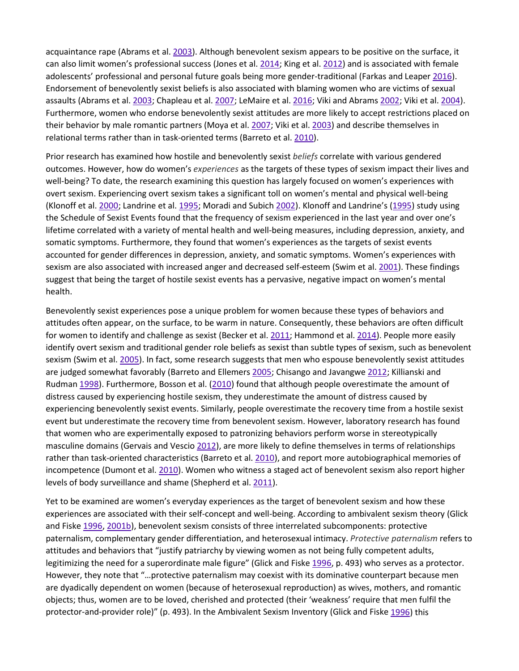acquaintance rape (Abrams et al. [2003\)](https://link.springer.com/article/10.1007/s11199-018-0933-5#CR1). Although benevolent sexism appears to be positive on the surface, it can also limit women's professional success (Jones et al. [2014;](https://link.springer.com/article/10.1007/s11199-018-0933-5#CR33) King et al. [2012\)](https://link.springer.com/article/10.1007/s11199-018-0933-5#CR36) and is associated with female adolescents' professional and personal future goals being more gender-traditional (Farkas and Leaper [2016\)](https://link.springer.com/article/10.1007/s11199-018-0933-5#CR20). Endorsement of benevolently sexist beliefs is also associated with blaming women who are victims of sexual assaults (Abrams et al. [2003;](https://link.springer.com/article/10.1007/s11199-018-0933-5#CR1) Chapleau et al. [2007;](https://link.springer.com/article/10.1007/s11199-018-0933-5#CR13) LeMaire et al. [2016;](https://link.springer.com/article/10.1007/s11199-018-0933-5#CR42) Viki and Abrams [2002;](https://link.springer.com/article/10.1007/s11199-018-0933-5#CR65) Viki et al. [2004\)](https://link.springer.com/article/10.1007/s11199-018-0933-5#CR67). Furthermore, women who endorse benevolently sexist attitudes are more likely to accept restrictions placed on their behavior by male romantic partners (Moya et al. [2007;](https://link.springer.com/article/10.1007/s11199-018-0933-5#CR49) Viki et al. [2003\)](https://link.springer.com/article/10.1007/s11199-018-0933-5#CR66) and describe themselves in relational terms rather than in task-oriented terms (Barreto et al. [2010\)](https://link.springer.com/article/10.1007/s11199-018-0933-5#CR5).

Prior research has examined how hostile and benevolently sexist *beliefs* correlate with various gendered outcomes. However, how do women's *experiences* as the targets of these types of sexism impact their lives and well-being? To date, the research examining this question has largely focused on women's experiences with overt sexism. Experiencing overt sexism takes a significant toll on women's mental and physical well-being (Klonoff et al. [2000;](https://link.springer.com/article/10.1007/s11199-018-0933-5#CR38) Landrine et al. [1995;](https://link.springer.com/article/10.1007/s11199-018-0933-5#CR40) Moradi and Subich [2002\)](https://link.springer.com/article/10.1007/s11199-018-0933-5#CR48). Klonoff and Landrine's [\(1995\)](https://link.springer.com/article/10.1007/s11199-018-0933-5#CR37) study using the Schedule of Sexist Events found that the frequency of sexism experienced in the last year and over one's lifetime correlated with a variety of mental health and well-being measures, including depression, anxiety, and somatic symptoms. Furthermore, they found that women's experiences as the targets of sexist events accounted for gender differences in depression, anxiety, and somatic symptoms. Women's experiences with sexism are also associated with increased anger and decreased self-esteem (Swim et al. [2001\)](https://link.springer.com/article/10.1007/s11199-018-0933-5#CR62). These findings suggest that being the target of hostile sexist events has a pervasive, negative impact on women's mental health.

Benevolently sexist experiences pose a unique problem for women because these types of behaviors and attitudes often appear, on the surface, to be warm in nature. Consequently, these behaviors are often difficult for women to identify and challenge as sexist (Becker et al. [2011;](https://link.springer.com/article/10.1007/s11199-018-0933-5#CR8) Hammond et al. [2014\)](https://link.springer.com/article/10.1007/s11199-018-0933-5#CR29). People more easily identify overt sexism and traditional gender role beliefs as sexist than subtle types of sexism, such as benevolent sexism (Swim et al. [2005\)](https://link.springer.com/article/10.1007/s11199-018-0933-5#CR63). In fact, some research suggests that men who espouse benevolently sexist attitudes are judged somewhat favorably (Barreto and Ellemers [2005;](https://link.springer.com/article/10.1007/s11199-018-0933-5#CR4) Chisango and Javangwe [2012;](https://link.springer.com/article/10.1007/s11199-018-0933-5#CR14) Killianski and Rudman [1998\)](https://link.springer.com/article/10.1007/s11199-018-0933-5#CR35). Furthermore, Bosson et al. [\(2010\)](https://link.springer.com/article/10.1007/s11199-018-0933-5#CR10) found that although people overestimate the amount of distress caused by experiencing hostile sexism, they underestimate the amount of distress caused by experiencing benevolently sexist events. Similarly, people overestimate the recovery time from a hostile sexist event but underestimate the recovery time from benevolent sexism. However, laboratory research has found that women who are experimentally exposed to patronizing behaviors perform worse in stereotypically masculine domains (Gervais and Vescio [2012\)](https://link.springer.com/article/10.1007/s11199-018-0933-5#CR22), are more likely to define themselves in terms of relationships rather than task-oriented characteristics (Barreto et al. [2010\)](https://link.springer.com/article/10.1007/s11199-018-0933-5#CR5), and report more autobiographical memories of incompetence (Dumont et al. [2010\)](https://link.springer.com/article/10.1007/s11199-018-0933-5#CR19). Women who witness a staged act of benevolent sexism also report higher levels of body surveillance and shame (Shepherd et al. [2011\)](https://link.springer.com/article/10.1007/s11199-018-0933-5#CR59).

Yet to be examined are women's everyday experiences as the target of benevolent sexism and how these experiences are associated with their self-concept and well-being. According to ambivalent sexism theory (Glick and Fiske [1996,](https://link.springer.com/article/10.1007/s11199-018-0933-5#CR23) [2001b\)](https://link.springer.com/article/10.1007/s11199-018-0933-5#CR26), benevolent sexism consists of three interrelated subcomponents: protective paternalism, complementary gender differentiation, and heterosexual intimacy. *Protective paternalism* refers to attitudes and behaviors that "justify patriarchy by viewing women as not being fully competent adults, legitimizing the need for a superordinate male figure" (Glick and Fiske [1996,](https://link.springer.com/article/10.1007/s11199-018-0933-5#CR23) p. 493) who serves as a protector. However, they note that "…protective paternalism may coexist with its dominative counterpart because men are dyadically dependent on women (because of heterosexual reproduction) as wives, mothers, and romantic objects; thus, women are to be loved, cherished and protected (their 'weakness' require that men fulfil the protector-and-provider role)" (p. 493). In the Ambivalent Sexism Inventory (Glick and Fiske [1996\)](https://link.springer.com/article/10.1007/s11199-018-0933-5#CR23) this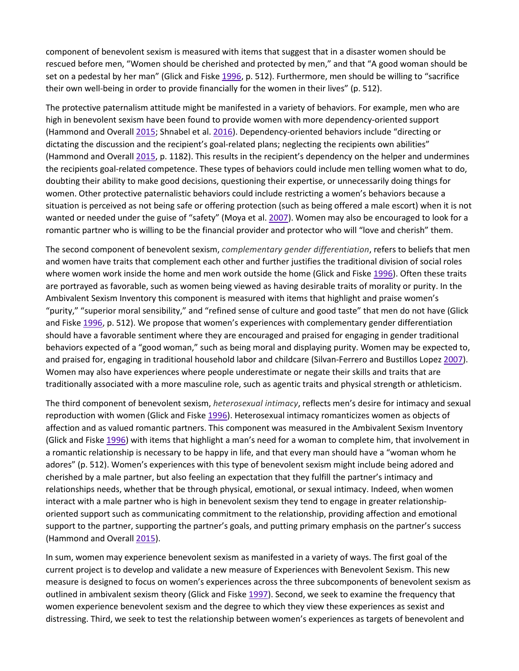component of benevolent sexism is measured with items that suggest that in a disaster women should be rescued before men, "Women should be cherished and protected by men," and that "A good woman should be set on a pedestal by her man" (Glick and Fiske [1996,](https://link.springer.com/article/10.1007/s11199-018-0933-5#CR23) p. 512). Furthermore, men should be willing to "sacrifice their own well-being in order to provide financially for the women in their lives" (p. 512).

The protective paternalism attitude might be manifested in a variety of behaviors. For example, men who are high in benevolent sexism have been found to provide women with more dependency-oriented support (Hammond and Overall [2015;](https://link.springer.com/article/10.1007/s11199-018-0933-5#CR27) Shnabel et al. [2016\)](https://link.springer.com/article/10.1007/s11199-018-0933-5#CR60). Dependency-oriented behaviors include "directing or dictating the discussion and the recipient's goal-related plans; neglecting the recipients own abilities" (Hammond and Overall [2015,](https://link.springer.com/article/10.1007/s11199-018-0933-5#CR27) p. 1182). This results in the recipient's dependency on the helper and undermines the recipients goal-related competence. These types of behaviors could include men telling women what to do, doubting their ability to make good decisions, questioning their expertise, or unnecessarily doing things for women. Other protective paternalistic behaviors could include restricting a women's behaviors because a situation is perceived as not being safe or offering protection (such as being offered a male escort) when it is not wanted or needed under the guise of "safety" (Moya et al. [2007\)](https://link.springer.com/article/10.1007/s11199-018-0933-5#CR49). Women may also be encouraged to look for a romantic partner who is willing to be the financial provider and protector who will "love and cherish" them.

The second component of benevolent sexism, *complementary gender differentiation*, refers to beliefs that men and women have traits that complement each other and further justifies the traditional division of social roles where women work inside the home and men work outside the home (Glick and Fiske [1996\)](https://link.springer.com/article/10.1007/s11199-018-0933-5#CR23). Often these traits are portrayed as favorable, such as women being viewed as having desirable traits of morality or purity. In the Ambivalent Sexism Inventory this component is measured with items that highlight and praise women's "purity," "superior moral sensibility," and "refined sense of culture and good taste" that men do not have (Glick and Fiske [1996,](https://link.springer.com/article/10.1007/s11199-018-0933-5#CR23) p. 512). We propose that women's experiences with complementary gender differentiation should have a favorable sentiment where they are encouraged and praised for engaging in gender traditional behaviors expected of a "good woman," such as being moral and displaying purity. Women may be expected to, and praised for, engaging in traditional household labor and childcare (Silvan-Ferrero and Bustillos Lopez [2007\)](https://link.springer.com/article/10.1007/s11199-018-0933-5#CR61). Women may also have experiences where people underestimate or negate their skills and traits that are traditionally associated with a more masculine role, such as agentic traits and physical strength or athleticism.

The third component of benevolent sexism, *heterosexual intimacy*, reflects men's desire for intimacy and sexual reproduction with women (Glick and Fiske [1996\)](https://link.springer.com/article/10.1007/s11199-018-0933-5#CR23). Heterosexual intimacy romanticizes women as objects of affection and as valued romantic partners. This component was measured in the Ambivalent Sexism Inventory (Glick and Fiske [1996\)](https://link.springer.com/article/10.1007/s11199-018-0933-5#CR23) with items that highlight a man's need for a woman to complete him, that involvement in a romantic relationship is necessary to be happy in life, and that every man should have a "woman whom he adores" (p. 512). Women's experiences with this type of benevolent sexism might include being adored and cherished by a male partner, but also feeling an expectation that they fulfill the partner's intimacy and relationships needs, whether that be through physical, emotional, or sexual intimacy. Indeed, when women interact with a male partner who is high in benevolent sexism they tend to engage in greater relationshiporiented support such as communicating commitment to the relationship, providing affection and emotional support to the partner, supporting the partner's goals, and putting primary emphasis on the partner's success (Hammond and Overall [2015\)](https://link.springer.com/article/10.1007/s11199-018-0933-5#CR27).

In sum, women may experience benevolent sexism as manifested in a variety of ways. The first goal of the current project is to develop and validate a new measure of Experiences with Benevolent Sexism. This new measure is designed to focus on women's experiences across the three subcomponents of benevolent sexism as outlined in ambivalent sexism theory (Glick and Fiske [1997\)](https://link.springer.com/article/10.1007/s11199-018-0933-5#CR24). Second, we seek to examine the frequency that women experience benevolent sexism and the degree to which they view these experiences as sexist and distressing. Third, we seek to test the relationship between women's experiences as targets of benevolent and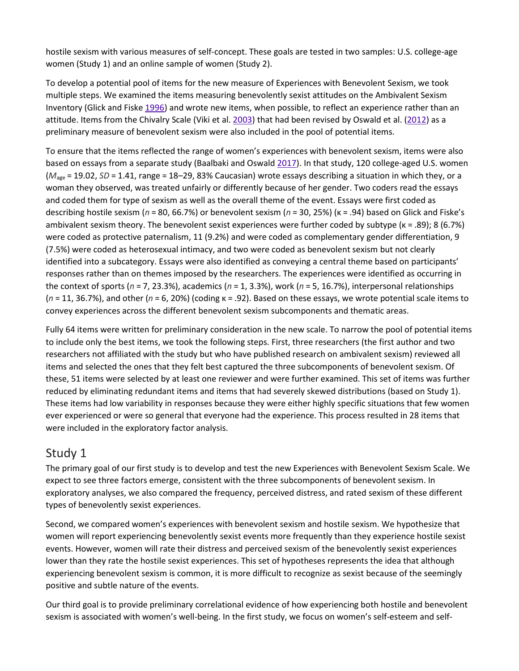hostile sexism with various measures of self-concept. These goals are tested in two samples: U.S. college-age women (Study 1) and an online sample of women (Study 2).

To develop a potential pool of items for the new measure of Experiences with Benevolent Sexism, we took multiple steps. We examined the items measuring benevolently sexist attitudes on the Ambivalent Sexism Inventory (Glick and Fiske [1996\)](https://link.springer.com/article/10.1007/s11199-018-0933-5#CR23) and wrote new items, when possible, to reflect an experience rather than an attitude. Items from the Chivalry Scale (Viki et al. [2003\)](https://link.springer.com/article/10.1007/s11199-018-0933-5#CR66) that had been revised by Oswald et al. [\(2012\)](https://link.springer.com/article/10.1007/s11199-018-0933-5#CR52) as a preliminary measure of benevolent sexism were also included in the pool of potential items.

To ensure that the items reflected the range of women's experiences with benevolent sexism, items were also based on essays from a separate study (Baalbaki and Oswald [2017\)](https://link.springer.com/article/10.1007/s11199-018-0933-5#CR3). In that study, 120 college-aged U.S. women (*M*age = 19.02, *SD* = 1.41, range = 18–29, 83% Caucasian) wrote essays describing a situation in which they, or a woman they observed, was treated unfairly or differently because of her gender. Two coders read the essays and coded them for type of sexism as well as the overall theme of the event. Essays were first coded as describing hostile sexism (*n* = 80, 66.7%) or benevolent sexism (*n* = 30, 25%) (κ = .94) based on Glick and Fiske's ambivalent sexism theory. The benevolent sexist experiences were further coded by subtype (κ = .89); 8 (6.7%) were coded as protective paternalism, 11 (9.2%) and were coded as complementary gender differentiation, 9 (7.5%) were coded as heterosexual intimacy, and two were coded as benevolent sexism but not clearly identified into a subcategory. Essays were also identified as conveying a central theme based on participants' responses rather than on themes imposed by the researchers. The experiences were identified as occurring in the context of sports (*n* = 7, 23.3%), academics (*n* = 1, 3.3%), work (*n* = 5, 16.7%), interpersonal relationships (*n* = 11, 36.7%), and other (*n* = 6, 20%) (coding κ = .92). Based on these essays, we wrote potential scale items to convey experiences across the different benevolent sexism subcomponents and thematic areas.

Fully 64 items were written for preliminary consideration in the new scale. To narrow the pool of potential items to include only the best items, we took the following steps. First, three researchers (the first author and two researchers not affiliated with the study but who have published research on ambivalent sexism) reviewed all items and selected the ones that they felt best captured the three subcomponents of benevolent sexism. Of these, 51 items were selected by at least one reviewer and were further examined. This set of items was further reduced by eliminating redundant items and items that had severely skewed distributions (based on Study 1). These items had low variability in responses because they were either highly specific situations that few women ever experienced or were so general that everyone had the experience. This process resulted in 28 items that were included in the exploratory factor analysis.

## Study 1

The primary goal of our first study is to develop and test the new Experiences with Benevolent Sexism Scale. We expect to see three factors emerge, consistent with the three subcomponents of benevolent sexism. In exploratory analyses, we also compared the frequency, perceived distress, and rated sexism of these different types of benevolently sexist experiences.

Second, we compared women's experiences with benevolent sexism and hostile sexism. We hypothesize that women will report experiencing benevolently sexist events more frequently than they experience hostile sexist events. However, women will rate their distress and perceived sexism of the benevolently sexist experiences lower than they rate the hostile sexist experiences. This set of hypotheses represents the idea that although experiencing benevolent sexism is common, it is more difficult to recognize as sexist because of the seemingly positive and subtle nature of the events.

Our third goal is to provide preliminary correlational evidence of how experiencing both hostile and benevolent sexism is associated with women's well-being. In the first study, we focus on women's self-esteem and self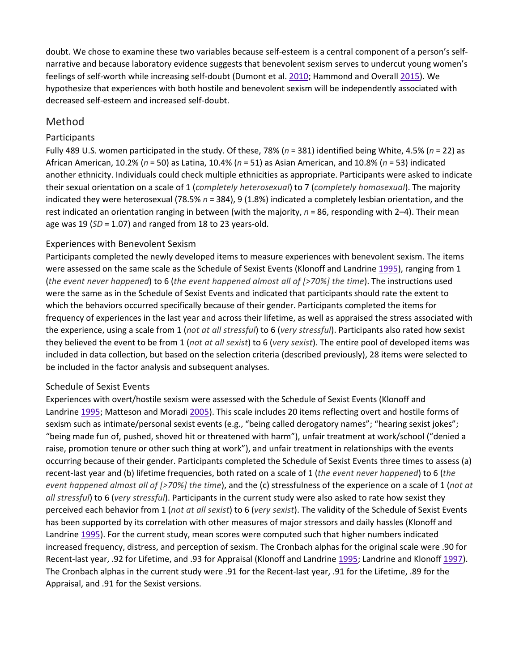doubt. We chose to examine these two variables because self-esteem is a central component of a person's selfnarrative and because laboratory evidence suggests that benevolent sexism serves to undercut young women's feelings of self-worth while increasing self-doubt (Dumont et al. [2010;](https://link.springer.com/article/10.1007/s11199-018-0933-5#CR19) Hammond and Overall [2015\)](https://link.springer.com/article/10.1007/s11199-018-0933-5#CR27). We hypothesize that experiences with both hostile and benevolent sexism will be independently associated with decreased self-esteem and increased self-doubt.

#### Method

#### Participants

Fully 489 U.S. women participated in the study. Of these, 78% (*n* = 381) identified being White, 4.5% (*n* = 22) as African American, 10.2% (*n* = 50) as Latina, 10.4% (*n* = 51) as Asian American, and 10.8% (*n* = 53) indicated another ethnicity. Individuals could check multiple ethnicities as appropriate. Participants were asked to indicate their sexual orientation on a scale of 1 (*completely heterosexual*) to 7 (*completely homosexual*). The majority indicated they were heterosexual (78.5% *n* = 384), 9 (1.8%) indicated a completely lesbian orientation, and the rest indicated an orientation ranging in between (with the majority, *n* = 86, responding with 2–4). Their mean age was 19 (*SD* = 1.07) and ranged from 18 to 23 years-old.

#### Experiences with Benevolent Sexism

Participants completed the newly developed items to measure experiences with benevolent sexism. The items were assessed on the same scale as the Schedule of Sexist Events (Klonoff and Landrine [1995\)](https://link.springer.com/article/10.1007/s11199-018-0933-5#CR37), ranging from 1 (*the event never happened*) to 6 (*the event happened almost all of [>70%] the time*). The instructions used were the same as in the Schedule of Sexist Events and indicated that participants should rate the extent to which the behaviors occurred specifically because of their gender. Participants completed the items for frequency of experiences in the last year and across their lifetime, as well as appraised the stress associated with the experience, using a scale from 1 (*not at all stressful*) to 6 (*very stressful*). Participants also rated how sexist they believed the event to be from 1 (*not at all sexist*) to 6 (*very sexist*). The entire pool of developed items was included in data collection, but based on the selection criteria (described previously), 28 items were selected to be included in the factor analysis and subsequent analyses.

#### Schedule of Sexist Events

Experiences with overt/hostile sexism were assessed with the Schedule of Sexist Events (Klonoff and Landrine [1995;](https://link.springer.com/article/10.1007/s11199-018-0933-5#CR37) Matteson and Moradi [2005\)](https://link.springer.com/article/10.1007/s11199-018-0933-5#CR45). This scale includes 20 items reflecting overt and hostile forms of sexism such as intimate/personal sexist events (e.g., "being called derogatory names"; "hearing sexist jokes"; "being made fun of, pushed, shoved hit or threatened with harm"), unfair treatment at work/school ("denied a raise, promotion tenure or other such thing at work"), and unfair treatment in relationships with the events occurring because of their gender. Participants completed the Schedule of Sexist Events three times to assess (a) recent-last year and (b) lifetime frequencies, both rated on a scale of 1 (*the event never happened*) to 6 (*the event happened almost all of [>70%] the time*), and the (c) stressfulness of the experience on a scale of 1 (*not at all stressful*) to 6 (*very stressful*). Participants in the current study were also asked to rate how sexist they perceived each behavior from 1 (*not at all sexist*) to 6 (*very sexist*). The validity of the Schedule of Sexist Events has been supported by its correlation with other measures of major stressors and daily hassles (Klonoff and Landrine [1995\)](https://link.springer.com/article/10.1007/s11199-018-0933-5#CR37). For the current study, mean scores were computed such that higher numbers indicated increased frequency, distress, and perception of sexism. The Cronbach alphas for the original scale were .90 for Recent-last year, .92 for Lifetime, and .93 for Appraisal (Klonoff and Landrine [1995;](https://link.springer.com/article/10.1007/s11199-018-0933-5#CR37) Landrine and Klonoff [1997\)](https://link.springer.com/article/10.1007/s11199-018-0933-5#CR39). The Cronbach alphas in the current study were .91 for the Recent-last year, .91 for the Lifetime, .89 for the Appraisal, and .91 for the Sexist versions.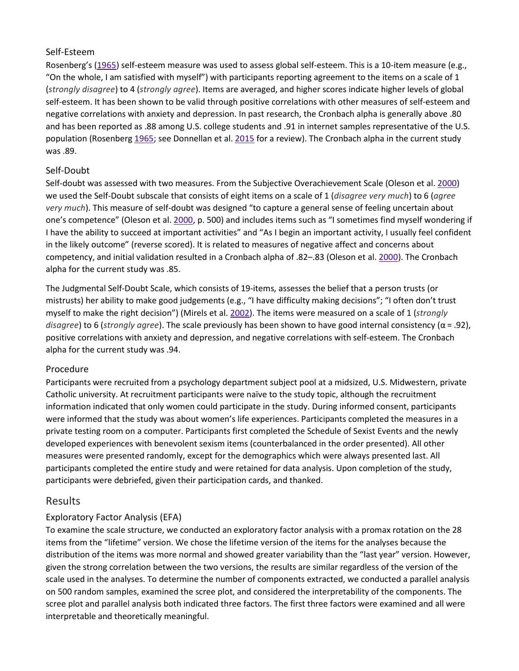#### Self-Esteem

Rosenberg's [\(1965\)](https://link.springer.com/article/10.1007/s11199-018-0933-5#CR55) self-esteem measure was used to assess global self-esteem. This is a 10-item measure (e.g., "On the whole, I am satisfied with myself") with participants reporting agreement to the items on a scale of 1 (*strongly disagree*) to 4 (*strongly agree*). Items are averaged, and higher scores indicate higher levels of global self-esteem. It has been shown to be valid through positive correlations with other measures of self-esteem and negative correlations with anxiety and depression. In past research, the Cronbach alpha is generally above .80 and has been reported as .88 among U.S. college students and .91 in internet samples representative of the U.S. population (Rosenberg [1965;](https://link.springer.com/article/10.1007/s11199-018-0933-5#CR55) see Donnellan et al. [2015](https://link.springer.com/article/10.1007/s11199-018-0933-5#CR18) for a review). The Cronbach alpha in the current study was .89.

#### Self-Doubt

Self-doubt was assessed with two measures. From the Subjective Overachievement Scale (Oleson et al. [2000\)](https://link.springer.com/article/10.1007/s11199-018-0933-5#CR51) we used the Self-Doubt subscale that consists of eight items on a scale of 1 (*disagree very much*) to 6 (*agree very much*). This measure of self-doubt was designed "to capture a general sense of feeling uncertain about one's competence" (Oleson et al. [2000,](https://link.springer.com/article/10.1007/s11199-018-0933-5#CR51) p. 500) and includes items such as "I sometimes find myself wondering if I have the ability to succeed at important activities" and "As I begin an important activity, I usually feel confident in the likely outcome" (reverse scored). It is related to measures of negative affect and concerns about competency, and initial validation resulted in a Cronbach alpha of .82–.83 (Oleson et al. [2000\)](https://link.springer.com/article/10.1007/s11199-018-0933-5#CR51). The Cronbach alpha for the current study was .85.

The Judgmental Self-Doubt Scale, which consists of 19-items, assesses the belief that a person trusts (or mistrusts) her ability to make good judgements (e.g., "I have difficulty making decisions"; "I often don't trust myself to make the right decision") (Mirels et al. [2002\)](https://link.springer.com/article/10.1007/s11199-018-0933-5#CR47). The items were measured on a scale of 1 (*strongly disagree*) to 6 (*strongly agree*). The scale previously has been shown to have good internal consistency (α = .92), positive correlations with anxiety and depression, and negative correlations with self-esteem. The Cronbach alpha for the current study was .94.

#### Procedure

Participants were recruited from a psychology department subject pool at a midsized, U.S. Midwestern, private Catholic university. At recruitment participants were naïve to the study topic, although the recruitment information indicated that only women could participate in the study. During informed consent, participants were informed that the study was about women's life experiences. Participants completed the measures in a private testing room on a computer. Participants first completed the Schedule of Sexist Events and the newly developed experiences with benevolent sexism items (counterbalanced in the order presented). All other measures were presented randomly, except for the demographics which were always presented last. All participants completed the entire study and were retained for data analysis. Upon completion of the study, participants were debriefed, given their participation cards, and thanked.

#### Results

#### Exploratory Factor Analysis (EFA)

To examine the scale structure, we conducted an exploratory factor analysis with a promax rotation on the 28 items from the "lifetime" version. We chose the lifetime version of the items for the analyses because the distribution of the items was more normal and showed greater variability than the "last year" version. However, given the strong correlation between the two versions, the results are similar regardless of the version of the scale used in the analyses. To determine the number of components extracted, we conducted a parallel analysis on 500 random samples, examined the scree plot, and considered the interpretability of the components. The scree plot and parallel analysis both indicated three factors. The first three factors were examined and all were interpretable and theoretically meaningful.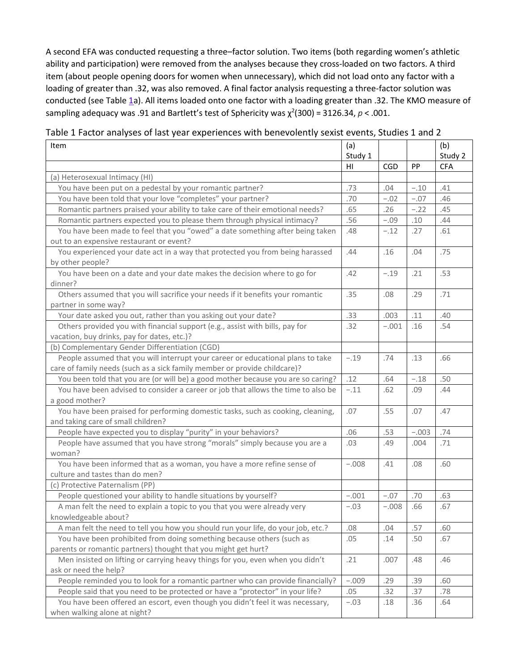A second EFA was conducted requesting a three–factor solution. Two items (both regarding women's athletic ability and participation) were removed from the analyses because they cross-loaded on two factors. A third item (about people opening doors for women when unnecessary), which did not load onto any factor with a loading of greater than .32, was also removed. A final factor analysis requesting a three-factor solution was conducted (see Table [1a](https://link.springer.com/article/10.1007/s11199-018-0933-5#Tab1)). All items loaded onto one factor with a loading greater than .32. The KMO measure of sampling adequacy was .91 and Bartlett's test of Sphericity was  $\chi^2(300)$  = 3126.34,  $p$  < .001.

| Item                                                                              | (a)<br>Study 1 |         |         | (b)<br>Study 2 |
|-----------------------------------------------------------------------------------|----------------|---------|---------|----------------|
|                                                                                   | HI             | CGD     | PP      | <b>CFA</b>     |
| (a) Heterosexual Intimacy (HI)                                                    |                |         |         |                |
| You have been put on a pedestal by your romantic partner?                         | .73            | .04     | $-.10$  | .41            |
| You have been told that your love "completes" your partner?                       | .70            | $-.02$  | $-.07$  | .46            |
| Romantic partners praised your ability to take care of their emotional needs?     | .65            | .26     | $-.22$  | .45            |
| Romantic partners expected you to please them through physical intimacy?          | .56            | $-.09$  | .10     | .44            |
| You have been made to feel that you "owed" a date something after being taken     | .48            | $-.12$  | .27     | .61            |
| out to an expensive restaurant or event?                                          |                |         |         |                |
| You experienced your date act in a way that protected you from being harassed     | .44            | .16     | .04     | .75            |
| by other people?                                                                  |                |         |         |                |
| You have been on a date and your date makes the decision where to go for          | .42            | $-.19$  | .21     | .53            |
| dinner?                                                                           |                |         |         |                |
| Others assumed that you will sacrifice your needs if it benefits your romantic    | .35            | .08     | .29     | .71            |
| partner in some way?                                                              |                |         |         |                |
| Your date asked you out, rather than you asking out your date?                    | .33            | .003    | .11     | .40            |
| Others provided you with financial support (e.g., assist with bills, pay for      | .32            | $-.001$ | .16     | .54            |
| vacation, buy drinks, pay for dates, etc.)?                                       |                |         |         |                |
| (b) Complementary Gender Differentiation (CGD)                                    |                |         |         |                |
| People assumed that you will interrupt your career or educational plans to take   | $-.19$         | .74     | .13     | .66            |
| care of family needs (such as a sick family member or provide childcare)?         |                |         |         |                |
| You been told that you are (or will be) a good mother because you are so caring?  | .12            | .64     | $-.18$  | .50            |
| You have been advised to consider a career or job that allows the time to also be | $-.11$         | .62     | .09     | .44            |
| a good mother?                                                                    |                |         |         |                |
| You have been praised for performing domestic tasks, such as cooking, cleaning,   | .07            | .55     | .07     | .47            |
| and taking care of small children?                                                |                |         |         |                |
| People have expected you to display "purity" in your behaviors?                   | .06            | .53     | $-.003$ | .74            |
| People have assumed that you have strong "morals" simply because you are a        | .03            | .49     | .004    | .71            |
| woman?                                                                            |                |         |         |                |
| You have been informed that as a woman, you have a more refine sense of           | $-.008$        | .41     | .08     | .60            |
| culture and tastes than do men?                                                   |                |         |         |                |
| (c) Protective Paternalism (PP)                                                   |                |         |         |                |
| People questioned your ability to handle situations by yourself?                  | $-.001$        | $-.07$  | .70     | .63            |
| A man felt the need to explain a topic to you that you were already very          | $-.03$         | $-.008$ | .66     | .67            |
| knowledgeable about?                                                              |                |         |         |                |
| A man felt the need to tell you how you should run your life, do your job, etc.?  | .08            | .04     | .57     | .60            |
| You have been prohibited from doing something because others (such as             | .05            | .14     | .50     | .67            |
| parents or romantic partners) thought that you might get hurt?                    |                |         |         |                |
| Men insisted on lifting or carrying heavy things for you, even when you didn't    | .21            | .007    | .48     | .46            |
| ask or need the help?                                                             |                |         |         |                |
| People reminded you to look for a romantic partner who can provide financially?   | $-.009$        | .29     | .39     | .60            |
| People said that you need to be protected or have a "protector" in your life?     | .05            | .32     | .37     | .78            |
| You have been offered an escort, even though you didn't feel it was necessary,    | $-.03$         | .18     | .36     | .64            |
| when walking alone at night?                                                      |                |         |         |                |

| Table 1 Factor analyses of last year experiences with benevolently sexist events, Studies 1 and 2 |  |  |  |  |
|---------------------------------------------------------------------------------------------------|--|--|--|--|
|---------------------------------------------------------------------------------------------------|--|--|--|--|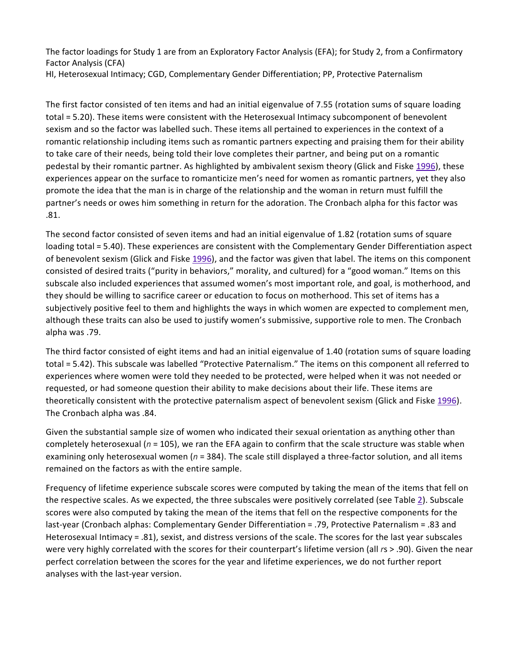The factor loadings for Study 1 are from an Exploratory Factor Analysis (EFA); for Study 2, from a Confirmatory Factor Analysis (CFA)

HI, Heterosexual Intimacy; CGD, Complementary Gender Differentiation; PP, Protective Paternalism

The first factor consisted of ten items and had an initial eigenvalue of 7.55 (rotation sums of square loading total = 5.20). These items were consistent with the Heterosexual Intimacy subcomponent of benevolent sexism and so the factor was labelled such. These items all pertained to experiences in the context of a romantic relationship including items such as romantic partners expecting and praising them for their ability to take care of their needs, being told their love completes their partner, and being put on a romantic pedestal by their romantic partner. As highlighted by ambivalent sexism theory (Glick and Fiske [1996\)](https://link.springer.com/article/10.1007/s11199-018-0933-5#CR23), these experiences appear on the surface to romanticize men's need for women as romantic partners, yet they also promote the idea that the man is in charge of the relationship and the woman in return must fulfill the partner's needs or owes him something in return for the adoration. The Cronbach alpha for this factor was .81.

The second factor consisted of seven items and had an initial eigenvalue of 1.82 (rotation sums of square loading total = 5.40). These experiences are consistent with the Complementary Gender Differentiation aspect of benevolent sexism (Glick and Fiske [1996\)](https://link.springer.com/article/10.1007/s11199-018-0933-5#CR23), and the factor was given that label. The items on this component consisted of desired traits ("purity in behaviors," morality, and cultured) for a "good woman." Items on this subscale also included experiences that assumed women's most important role, and goal, is motherhood, and they should be willing to sacrifice career or education to focus on motherhood. This set of items has a subjectively positive feel to them and highlights the ways in which women are expected to complement men, although these traits can also be used to justify women's submissive, supportive role to men. The Cronbach alpha was .79.

The third factor consisted of eight items and had an initial eigenvalue of 1.40 (rotation sums of square loading total = 5.42). This subscale was labelled "Protective Paternalism." The items on this component all referred to experiences where women were told they needed to be protected, were helped when it was not needed or requested, or had someone question their ability to make decisions about their life. These items are theoretically consistent with the protective paternalism aspect of benevolent sexism (Glick and Fiske [1996\)](https://link.springer.com/article/10.1007/s11199-018-0933-5#CR23). The Cronbach alpha was .84.

Given the substantial sample size of women who indicated their sexual orientation as anything other than completely heterosexual (*n* = 105), we ran the EFA again to confirm that the scale structure was stable when examining only heterosexual women ( $n = 384$ ). The scale still displayed a three-factor solution, and all items remained on the factors as with the entire sample.

Frequency of lifetime experience subscale scores were computed by taking the mean of the items that fell on the respective scales. As we expected, the three subscales were positively correlated (see Table [2\)](https://link.springer.com/article/10.1007/s11199-018-0933-5#Tab2). Subscale scores were also computed by taking the mean of the items that fell on the respective components for the last-year (Cronbach alphas: Complementary Gender Differentiation = .79, Protective Paternalism = .83 and Heterosexual Intimacy = .81), sexist, and distress versions of the scale. The scores for the last year subscales were very highly correlated with the scores for their counterpart's lifetime version (all *r*s > .90). Given the near perfect correlation between the scores for the year and lifetime experiences, we do not further report analyses with the last-year version.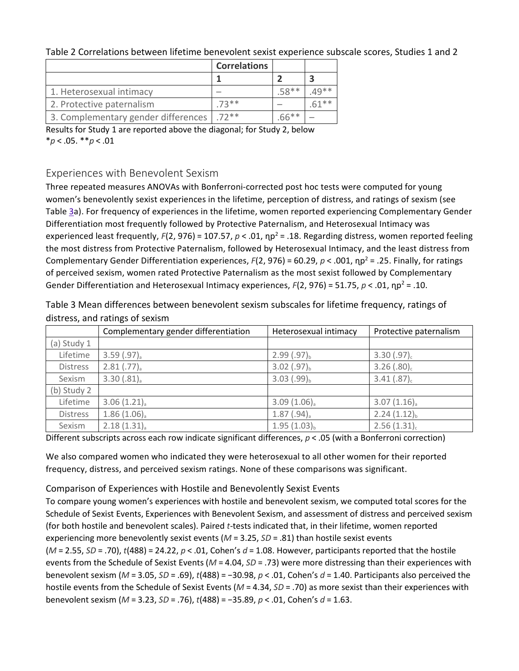Table 2 Correlations between lifetime benevolent sexist experience subscale scores, Studies 1 and 2

|                                     | <b>Correlations</b> |          |          |
|-------------------------------------|---------------------|----------|----------|
|                                     |                     |          |          |
| 1. Heterosexual intimacy            |                     | $.58**$  |          |
| 2. Protective paternalism           | $73**$              |          | $-61***$ |
| 3. Complementary gender differences | $72**$              | $.66***$ |          |

Results for Study 1 are reported above the diagonal; for Study 2, below \**p* < .05. \*\**p* < .01

#### Experiences with Benevolent Sexism

Three repeated measures ANOVAs with Bonferroni-corrected post hoc tests were computed for young women's benevolently sexist experiences in the lifetime, perception of distress, and ratings of sexism (see Table [3a](https://link.springer.com/article/10.1007/s11199-018-0933-5#Tab3)). For frequency of experiences in the lifetime, women reported experiencing Complementary Gender Differentiation most frequently followed by Protective Paternalism, and Heterosexual Intimacy was experienced least frequently,  $F(2, 976) = 107.57$ ,  $p < .01$ ,  $np^2 = .18$ . Regarding distress, women reported feeling the most distress from Protective Paternalism, followed by Heterosexual Intimacy, and the least distress from Complementary Gender Differentiation experiences, *F*(2, 976) = 60.29, *p* < .001, ɳp2 = .25. Finally, for ratings of perceived sexism, women rated Protective Paternalism as the most sexist followed by Complementary Gender Differentiation and Heterosexual Intimacy experiences,  $F(2, 976) = 51.75$ ,  $p < .01$ , np<sup>2</sup> = .10.

Table 3 Mean differences between benevolent sexism subscales for lifetime frequency, ratings of distress, and ratings of sexism

|                 | Complementary gender differentiation | Heterosexual intimacy     | Protective paternalism    |
|-----------------|--------------------------------------|---------------------------|---------------------------|
| (a) Study 1     |                                      |                           |                           |
| Lifetime        | $3.59(.97)_{a}$                      | $2.99(.97)_{b}$           | $3.30(.97)_{c}$           |
| <b>Distress</b> | $2.81(.77)_{a}$                      | $3.02(.97)_{b}$           | $3.26(.80)_{c}$           |
| Sexism          | $3.30(.81)_{a}$                      | $3.03(.99)_b$             | $3.41(.87)_{c}$           |
| (b) Study 2     |                                      |                           |                           |
| Lifetime        | $3.06(1.21)_{a}$                     | $3.09(1.06)$ <sub>a</sub> | $3.07(1.16)$ <sub>a</sub> |
| <b>Distress</b> | $1.86(1.06)_{a}$                     | $1.87(.94)_{a}$           | $2.24(1.12)_b$            |
| Sexism          | $2.18(1.31)_{a}$                     | $1.95(1.03)_{h}$          | $2.56(1.31)_{c}$          |

Different subscripts across each row indicate significant differences, *p* < .05 (with a Bonferroni correction)

We also compared women who indicated they were heterosexual to all other women for their reported frequency, distress, and perceived sexism ratings. None of these comparisons was significant.

Comparison of Experiences with Hostile and Benevolently Sexist Events

To compare young women's experiences with hostile and benevolent sexism, we computed total scores for the Schedule of Sexist Events, Experiences with Benevolent Sexism, and assessment of distress and perceived sexism (for both hostile and benevolent scales). Paired *t*-tests indicated that, in their lifetime, women reported experiencing more benevolently sexist events (*M* = 3.25, *SD* = .81) than hostile sexist events (*M* = 2.55, *SD* = .70), *t*(488) = 24.22, *p* < .01, Cohen's *d* = 1.08. However, participants reported that the hostile events from the Schedule of Sexist Events (*M* = 4.04, *SD* = .73) were more distressing than their experiences with benevolent sexism (*M* = 3.05, *SD* = .69), *t*(488) = −30.98, *p* < .01, Cohen's *d* = 1.40. Participants also perceived the hostile events from the Schedule of Sexist Events (*M* = 4.34, *SD* = .70) as more sexist than their experiences with benevolent sexism (*M* = 3.23, *SD* = .76), *t*(488) = −35.89, *p* < .01, Cohen's *d* = 1.63.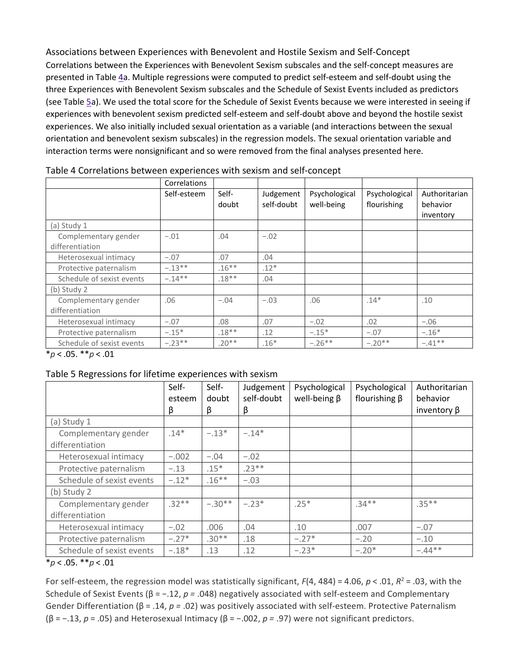Associations between Experiences with Benevolent and Hostile Sexism and Self-Concept Correlations between the Experiences with Benevolent Sexism subscales and the self-concept measures are presented in Table [4a](https://link.springer.com/article/10.1007/s11199-018-0933-5#Tab4). Multiple regressions were computed to predict self-esteem and self-doubt using the three Experiences with Benevolent Sexism subscales and the Schedule of Sexist Events included as predictors (see Table [5a](https://link.springer.com/article/10.1007/s11199-018-0933-5#Tab5)). We used the total score for the Schedule of Sexist Events because we were interested in seeing if experiences with benevolent sexism predicted self-esteem and self-doubt above and beyond the hostile sexist experiences. We also initially included sexual orientation as a variable (and interactions between the sexual orientation and benevolent sexism subscales) in the regression models. The sexual orientation variable and interaction terms were nonsignificant and so were removed from the final analyses presented here.

|                                         | Correlations |                |                         |                             |                              |                                        |
|-----------------------------------------|--------------|----------------|-------------------------|-----------------------------|------------------------------|----------------------------------------|
|                                         | Self-esteem  | Self-<br>doubt | Judgement<br>self-doubt | Psychological<br>well-being | Psychological<br>flourishing | Authoritarian<br>behavior<br>inventory |
| (a) Study 1                             |              |                |                         |                             |                              |                                        |
| Complementary gender<br>differentiation | $-.01$       | .04            | $-.02$                  |                             |                              |                                        |
| Heterosexual intimacy                   | $-.07$       | .07            | .04                     |                             |                              |                                        |
| Protective paternalism                  | $-.13**$     | $.16***$       | $.12*$                  |                             |                              |                                        |
| Schedule of sexist events               | $-.14**$     | $.18**$        | .04                     |                             |                              |                                        |
| (b) Study 2                             |              |                |                         |                             |                              |                                        |
| Complementary gender<br>differentiation | .06          | $-.04$         | $-.03$                  | .06                         | $.14*$                       | .10                                    |
| Heterosexual intimacy                   | $-.07$       | .08            | .07                     | $-.02$                      | .02                          | $-.06$                                 |
| Protective paternalism                  | $-.15*$      | $.18**$        | .12                     | $-.15*$                     | $-.07$                       | $-.16*$                                |
| Schedule of sexist events               | $-.23**$     | $.20**$        | $.16*$                  | $-.26**$                    | $-.20**$                     | $-.41**$                               |

Table 4 Correlations between experiences with sexism and self-concept

\**p* < .05. \*\**p* < .01

Table 5 Regressions for lifetime experiences with sexism

|                                         | Self-<br>esteem<br>β | Self-<br>doubt<br>β | Judgement<br>self-doubt<br>β | Psychological<br>well-being $\beta$ | Psychological<br>flourishing $\beta$ | Authoritarian<br>behavior<br>inventory $\beta$ |
|-----------------------------------------|----------------------|---------------------|------------------------------|-------------------------------------|--------------------------------------|------------------------------------------------|
| (a) Study 1                             |                      |                     |                              |                                     |                                      |                                                |
| Complementary gender<br>differentiation | $.14*$               | $-.13*$             | $-.14*$                      |                                     |                                      |                                                |
| Heterosexual intimacy                   | $-.002$              | $-.04$              | $-.02$                       |                                     |                                      |                                                |
| Protective paternalism                  | $-.13$               | $.15*$              | $.23**$                      |                                     |                                      |                                                |
| Schedule of sexist events               | $-.12*$              | $.16***$            | $-.03$                       |                                     |                                      |                                                |
| (b) Study 2                             |                      |                     |                              |                                     |                                      |                                                |
| Complementary gender<br>differentiation | $.32**$              | $-.30**$            | $-.23*$                      | $.25*$                              | $.34**$                              | $.35***$                                       |
| Heterosexual intimacy                   | $-.02$               | .006                | .04                          | .10                                 | .007                                 | $-.07$                                         |
| Protective paternalism                  | $-.27*$              | $.30**$             | .18                          | $-.27*$                             | $-.20$                               | $-.10$                                         |
| Schedule of sexist events               | $-.18*$              | .13                 | .12                          | $-.23*$                             | $-.20*$                              | $-.44**$                                       |

\**p* < .05. \*\**p* < .01

For self-esteem, the regression model was statistically significant,  $F(4, 484) = 4.06$ ,  $p < .01$ ,  $R^2 = .03$ , with the Schedule of Sexist Events (β = −.12, *p =* .048) negatively associated with self-esteem and Complementary Gender Differentiation (β = .14, *p =* .02) was positively associated with self-esteem. Protective Paternalism (β = −.13, *p* = .05) and Heterosexual Intimacy (β = −.002, *p =* .97) were not significant predictors.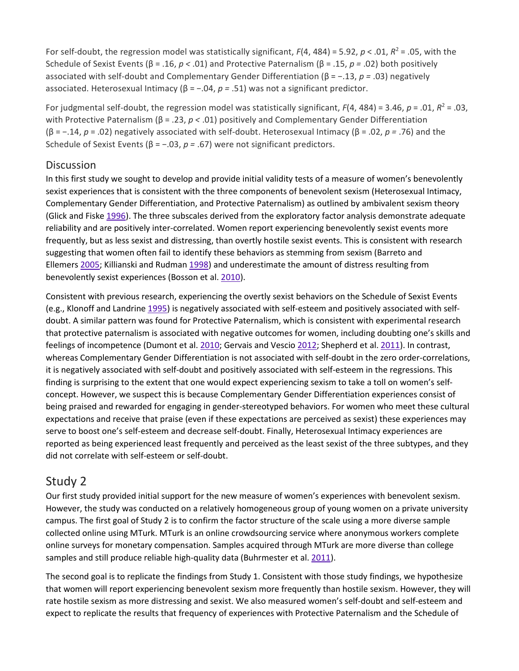For self-doubt, the regression model was statistically significant,  $F(4, 484) = 5.92$ ,  $p < .01$ ,  $R^2 = .05$ , with the Schedule of Sexist Events (β = .16, *p <* .01) and Protective Paternalism (β = .15, *p =* .02) both positively associated with self-doubt and Complementary Gender Differentiation (β = −.13, *p =* .03) negatively associated. Heterosexual Intimacy (β = −.04, *p =* .51) was not a significant predictor.

For judgmental self-doubt, the regression model was statistically significant, *F*(4, 484) = 3.46, *p* = .01, *R*<sup>2</sup> = .03, with Protective Paternalism (β = .23, *p <* .01) positively and Complementary Gender Differentiation (β = −.14, *p* = .02) negatively associated with self-doubt. Heterosexual Intimacy (β = .02, *p =* .76) and the Schedule of Sexist Events (β = −.03, *p =* .67) were not significant predictors.

#### **Discussion**

In this first study we sought to develop and provide initial validity tests of a measure of women's benevolently sexist experiences that is consistent with the three components of benevolent sexism (Heterosexual Intimacy, Complementary Gender Differentiation, and Protective Paternalism) as outlined by ambivalent sexism theory (Glick and Fiske [1996\)](https://link.springer.com/article/10.1007/s11199-018-0933-5#CR23). The three subscales derived from the exploratory factor analysis demonstrate adequate reliability and are positively inter-correlated. Women report experiencing benevolently sexist events more frequently, but as less sexist and distressing, than overtly hostile sexist events. This is consistent with research suggesting that women often fail to identify these behaviors as stemming from sexism (Barreto and Ellemers [2005;](https://link.springer.com/article/10.1007/s11199-018-0933-5#CR4) Killianski and Rudman [1998\)](https://link.springer.com/article/10.1007/s11199-018-0933-5#CR35) and underestimate the amount of distress resulting from benevolently sexist experiences (Bosson et al. [2010\)](https://link.springer.com/article/10.1007/s11199-018-0933-5#CR10).

Consistent with previous research, experiencing the overtly sexist behaviors on the Schedule of Sexist Events (e.g., Klonoff and Landrine [1995\)](https://link.springer.com/article/10.1007/s11199-018-0933-5#CR37) is negatively associated with self-esteem and positively associated with selfdoubt. A similar pattern was found for Protective Paternalism, which is consistent with experimental research that protective paternalism is associated with negative outcomes for women, including doubting one's skills and feelings of incompetence (Dumont et al. [2010;](https://link.springer.com/article/10.1007/s11199-018-0933-5#CR19) Gervais and Vescio [2012;](https://link.springer.com/article/10.1007/s11199-018-0933-5#CR22) Shepherd et al. [2011\)](https://link.springer.com/article/10.1007/s11199-018-0933-5#CR59). In contrast, whereas Complementary Gender Differentiation is not associated with self-doubt in the zero order-correlations, it is negatively associated with self-doubt and positively associated with self-esteem in the regressions. This finding is surprising to the extent that one would expect experiencing sexism to take a toll on women's selfconcept. However, we suspect this is because Complementary Gender Differentiation experiences consist of being praised and rewarded for engaging in gender-stereotyped behaviors. For women who meet these cultural expectations and receive that praise (even if these expectations are perceived as sexist) these experiences may serve to boost one's self-esteem and decrease self-doubt. Finally, Heterosexual Intimacy experiences are reported as being experienced least frequently and perceived as the least sexist of the three subtypes, and they did not correlate with self-esteem or self-doubt.

## Study 2

Our first study provided initial support for the new measure of women's experiences with benevolent sexism. However, the study was conducted on a relatively homogeneous group of young women on a private university campus. The first goal of Study 2 is to confirm the factor structure of the scale using a more diverse sample collected online using MTurk. MTurk is an online crowdsourcing service where anonymous workers complete online surveys for monetary compensation. Samples acquired through MTurk are more diverse than college samples and still produce reliable high-quality data (Buhrmester et al. [2011\)](https://link.springer.com/article/10.1007/s11199-018-0933-5#CR12).

The second goal is to replicate the findings from Study 1. Consistent with those study findings, we hypothesize that women will report experiencing benevolent sexism more frequently than hostile sexism. However, they will rate hostile sexism as more distressing and sexist. We also measured women's self-doubt and self-esteem and expect to replicate the results that frequency of experiences with Protective Paternalism and the Schedule of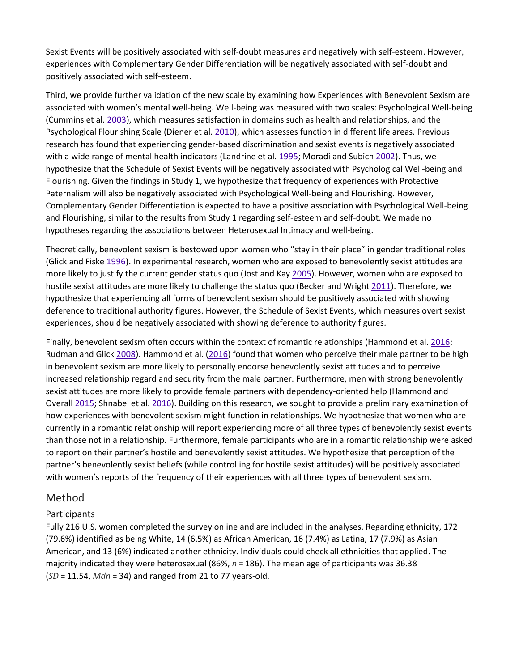Sexist Events will be positively associated with self-doubt measures and negatively with self-esteem. However, experiences with Complementary Gender Differentiation will be negatively associated with self-doubt and positively associated with self-esteem.

Third, we provide further validation of the new scale by examining how Experiences with Benevolent Sexism are associated with women's mental well-being. Well-being was measured with two scales: Psychological Well-being (Cummins et al. [2003\)](https://link.springer.com/article/10.1007/s11199-018-0933-5#CR16), which measures satisfaction in domains such as health and relationships, and the Psychological Flourishing Scale (Diener et al. [2010\)](https://link.springer.com/article/10.1007/s11199-018-0933-5#CR17), which assesses function in different life areas. Previous research has found that experiencing gender-based discrimination and sexist events is negatively associated with a wide range of mental health indicators (Landrine et al. [1995;](https://link.springer.com/article/10.1007/s11199-018-0933-5#CR40) Moradi and Subich [2002\)](https://link.springer.com/article/10.1007/s11199-018-0933-5#CR48). Thus, we hypothesize that the Schedule of Sexist Events will be negatively associated with Psychological Well-being and Flourishing. Given the findings in Study 1, we hypothesize that frequency of experiences with Protective Paternalism will also be negatively associated with Psychological Well-being and Flourishing. However, Complementary Gender Differentiation is expected to have a positive association with Psychological Well-being and Flourishing, similar to the results from Study 1 regarding self-esteem and self-doubt. We made no hypotheses regarding the associations between Heterosexual Intimacy and well-being.

Theoretically, benevolent sexism is bestowed upon women who "stay in their place" in gender traditional roles (Glick and Fiske [1996\)](https://link.springer.com/article/10.1007/s11199-018-0933-5#CR23). In experimental research, women who are exposed to benevolently sexist attitudes are more likely to justify the current gender status quo (Jost and Kay [2005\)](https://link.springer.com/article/10.1007/s11199-018-0933-5#CR34). However, women who are exposed to hostile sexist attitudes are more likely to challenge the status quo (Becker and Wright [2011\)](https://link.springer.com/article/10.1007/s11199-018-0933-5#CR7). Therefore, we hypothesize that experiencing all forms of benevolent sexism should be positively associated with showing deference to traditional authority figures. However, the Schedule of Sexist Events, which measures overt sexist experiences, should be negatively associated with showing deference to authority figures.

Finally, benevolent sexism often occurs within the context of romantic relationships (Hammond et al. [2016;](https://link.springer.com/article/10.1007/s11199-018-0933-5#CR30) Rudman and Glick [2008\)](https://link.springer.com/article/10.1007/s11199-018-0933-5#CR56). Hammond et al. [\(2016\)](https://link.springer.com/article/10.1007/s11199-018-0933-5#CR30) found that women who perceive their male partner to be high in benevolent sexism are more likely to personally endorse benevolently sexist attitudes and to perceive increased relationship regard and security from the male partner. Furthermore, men with strong benevolently sexist attitudes are more likely to provide female partners with dependency-oriented help (Hammond and Overall [2015;](https://link.springer.com/article/10.1007/s11199-018-0933-5#CR27) Shnabel et al. [2016\)](https://link.springer.com/article/10.1007/s11199-018-0933-5#CR60). Building on this research, we sought to provide a preliminary examination of how experiences with benevolent sexism might function in relationships. We hypothesize that women who are currently in a romantic relationship will report experiencing more of all three types of benevolently sexist events than those not in a relationship. Furthermore, female participants who are in a romantic relationship were asked to report on their partner's hostile and benevolently sexist attitudes. We hypothesize that perception of the partner's benevolently sexist beliefs (while controlling for hostile sexist attitudes) will be positively associated with women's reports of the frequency of their experiences with all three types of benevolent sexism.

#### Method

#### **Participants**

Fully 216 U.S. women completed the survey online and are included in the analyses. Regarding ethnicity, 172 (79.6%) identified as being White, 14 (6.5%) as African American, 16 (7.4%) as Latina, 17 (7.9%) as Asian American, and 13 (6%) indicated another ethnicity. Individuals could check all ethnicities that applied. The majority indicated they were heterosexual (86%, *n* = 186). The mean age of participants was 36.38 (*SD* = 11.54, *Mdn* = 34) and ranged from 21 to 77 years-old.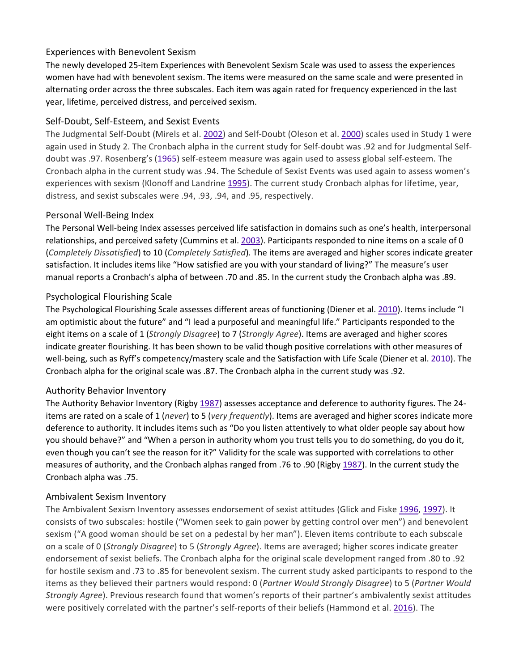#### Experiences with Benevolent Sexism

The newly developed 25-item Experiences with Benevolent Sexism Scale was used to assess the experiences women have had with benevolent sexism. The items were measured on the same scale and were presented in alternating order across the three subscales. Each item was again rated for frequency experienced in the last year, lifetime, perceived distress, and perceived sexism.

#### Self-Doubt, Self-Esteem, and Sexist Events

The Judgmental Self-Doubt (Mirels et al. [2002\)](https://link.springer.com/article/10.1007/s11199-018-0933-5#CR47) and Self-Doubt (Oleson et al. [2000\)](https://link.springer.com/article/10.1007/s11199-018-0933-5#CR51) scales used in Study 1 were again used in Study 2. The Cronbach alpha in the current study for Self-doubt was .92 and for Judgmental Selfdoubt was .97. Rosenberg's [\(1965\)](https://link.springer.com/article/10.1007/s11199-018-0933-5#CR55) self-esteem measure was again used to assess global self-esteem. The Cronbach alpha in the current study was .94. The Schedule of Sexist Events was used again to assess women's experiences with sexism (Klonoff and Landrine [1995\)](https://link.springer.com/article/10.1007/s11199-018-0933-5#CR37). The current study Cronbach alphas for lifetime, year, distress, and sexist subscales were .94, .93, .94, and .95, respectively.

#### Personal Well-Being Index

The Personal Well-being Index assesses perceived life satisfaction in domains such as one's health, interpersonal relationships, and perceived safety (Cummins et al. [2003\)](https://link.springer.com/article/10.1007/s11199-018-0933-5#CR16). Participants responded to nine items on a scale of 0 (*Completely Dissatisfied*) to 10 (*Completely Satisfied*). The items are averaged and higher scores indicate greater satisfaction. It includes items like "How satisfied are you with your standard of living?" The measure's user manual reports a Cronbach's alpha of between .70 and .85. In the current study the Cronbach alpha was .89.

#### Psychological Flourishing Scale

The Psychological Flourishing Scale assesses different areas of functioning (Diener et al. [2010\)](https://link.springer.com/article/10.1007/s11199-018-0933-5#CR17). Items include "I am optimistic about the future" and "I lead a purposeful and meaningful life." Participants responded to the eight items on a scale of 1 (*Strongly Disagree*) to 7 (*Strongly Agree*). Items are averaged and higher scores indicate greater flourishing. It has been shown to be valid though positive correlations with other measures of well-being, such as Ryff's competency/mastery scale and the Satisfaction with Life Scale (Diener et al. [2010\)](https://link.springer.com/article/10.1007/s11199-018-0933-5#CR17). The Cronbach alpha for the original scale was .87. The Cronbach alpha in the current study was .92.

#### Authority Behavior Inventory

The Authority Behavior Inventory (Rigby [1987\)](https://link.springer.com/article/10.1007/s11199-018-0933-5#CR54) assesses acceptance and deference to authority figures. The 24 items are rated on a scale of 1 (*never*) to 5 (*very frequently*). Items are averaged and higher scores indicate more deference to authority. It includes items such as "Do you listen attentively to what older people say about how you should behave?" and "When a person in authority whom you trust tells you to do something, do you do it, even though you can't see the reason for it?" Validity for the scale was supported with correlations to other measures of authority, and the Cronbach alphas ranged from .76 to .90 (Rigby [1987\)](https://link.springer.com/article/10.1007/s11199-018-0933-5#CR54). In the current study the Cronbach alpha was .75.

#### Ambivalent Sexism Inventory

The Ambivalent Sexism Inventory assesses endorsement of sexist attitudes (Glick and Fiske [1996,](https://link.springer.com/article/10.1007/s11199-018-0933-5#CR23) [1997\)](https://link.springer.com/article/10.1007/s11199-018-0933-5#CR24). It consists of two subscales: hostile ("Women seek to gain power by getting control over men") and benevolent sexism ("A good woman should be set on a pedestal by her man"). Eleven items contribute to each subscale on a scale of 0 (*Strongly Disagree*) to 5 (*Strongly Agree*). Items are averaged; higher scores indicate greater endorsement of sexist beliefs. The Cronbach alpha for the original scale development ranged from .80 to .92 for hostile sexism and .73 to .85 for benevolent sexism. The current study asked participants to respond to the items as they believed their partners would respond: 0 (*Partner Would Strongly Disagree*) to 5 (*Partner Would Strongly Agree*). Previous research found that women's reports of their partner's ambivalently sexist attitudes were positively correlated with the partner's self-reports of their beliefs (Hammond et al. [2016\)](https://link.springer.com/article/10.1007/s11199-018-0933-5#CR30). The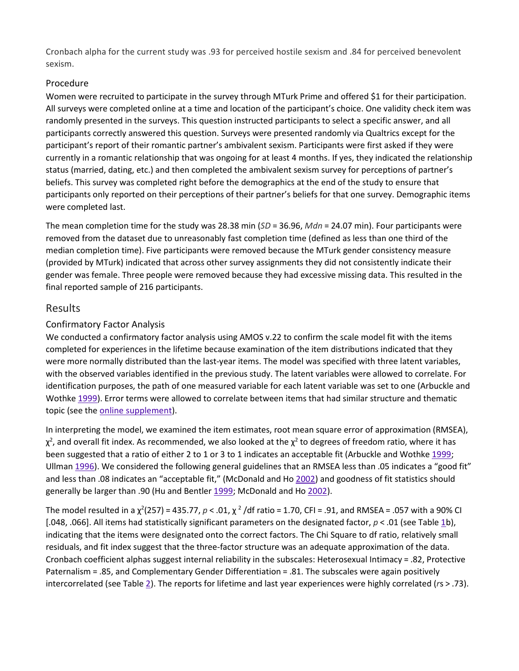Cronbach alpha for the current study was .93 for perceived hostile sexism and .84 for perceived benevolent sexism.

#### Procedure

Women were recruited to participate in the survey through MTurk Prime and offered \$1 for their participation. All surveys were completed online at a time and location of the participant's choice. One validity check item was randomly presented in the surveys. This question instructed participants to select a specific answer, and all participants correctly answered this question. Surveys were presented randomly via Qualtrics except for the participant's report of their romantic partner's ambivalent sexism. Participants were first asked if they were currently in a romantic relationship that was ongoing for at least 4 months. If yes, they indicated the relationship status (married, dating, etc.) and then completed the ambivalent sexism survey for perceptions of partner's beliefs. This survey was completed right before the demographics at the end of the study to ensure that participants only reported on their perceptions of their partner's beliefs for that one survey. Demographic items were completed last.

The mean completion time for the study was 28.38 min (*SD* = 36.96, *Mdn* = 24.07 min). Four participants were removed from the dataset due to unreasonably fast completion time (defined as less than one third of the median completion time). Five participants were removed because the MTurk gender consistency measure (provided by MTurk) indicated that across other survey assignments they did not consistently indicate their gender was female. Three people were removed because they had excessive missing data. This resulted in the final reported sample of 216 participants.

#### Results

#### Confirmatory Factor Analysis

We conducted a confirmatory factor analysis using AMOS v.22 to confirm the scale model fit with the items completed for experiences in the lifetime because examination of the item distributions indicated that they were more normally distributed than the last-year items. The model was specified with three latent variables, with the observed variables identified in the previous study. The latent variables were allowed to correlate. For identification purposes, the path of one measured variable for each latent variable was set to one (Arbuckle and Wothke [1999\)](https://link.springer.com/article/10.1007/s11199-018-0933-5#CR2). Error terms were allowed to correlate between items that had similar structure and thematic topic (see the [online supplement\)](https://link.springer.com/article/10.1007/s11199-018-0933-5#Sec37).

In interpreting the model, we examined the item estimates, root mean square error of approximation (RMSEA),  $\chi^2$ , and overall fit index. As recommended, we also looked at the  $\chi^2$  to degrees of freedom ratio, where it has been suggested that a ratio of either 2 to 1 or 3 to 1 indicates an acceptable fit (Arbuckle and Wothke [1999;](https://link.springer.com/article/10.1007/s11199-018-0933-5#CR2) Ullman [1996\)](https://link.springer.com/article/10.1007/s11199-018-0933-5#CR64). We considered the following general guidelines that an RMSEA less than .05 indicates a "good fit" and less than .08 indicates an "acceptable fit," (McDonald and Ho [2002\)](https://link.springer.com/article/10.1007/s11199-018-0933-5#CR46) and goodness of fit statistics should generally be larger than .90 (Hu and Bentler [1999;](https://link.springer.com/article/10.1007/s11199-018-0933-5#CR32) McDonald and Ho [2002\)](https://link.springer.com/article/10.1007/s11199-018-0933-5#CR46).

The model resulted in a  $\chi^2$ (257) = 435.77, *p* < .01,  $\chi^2$  /df ratio = 1.70, CFI = .91, and RMSEA = .057 with a 90% CI [.048, .066]. All items had statistically significant parameters on the designated factor, *p* < .01 (see Table [1b](https://link.springer.com/article/10.1007/s11199-018-0933-5#Tab1)), indicating that the items were designated onto the correct factors. The Chi Square to df ratio, relatively small residuals, and fit index suggest that the three-factor structure was an adequate approximation of the data. Cronbach coefficient alphas suggest internal reliability in the subscales: Heterosexual Intimacy = .82, Protective Paternalism = .85, and Complementary Gender Differentiation = .81. The subscales were again positively intercorrelated (see Table [2\)](https://link.springer.com/article/10.1007/s11199-018-0933-5#Tab2). The reports for lifetime and last year experiences were highly correlated (*r*s > .73).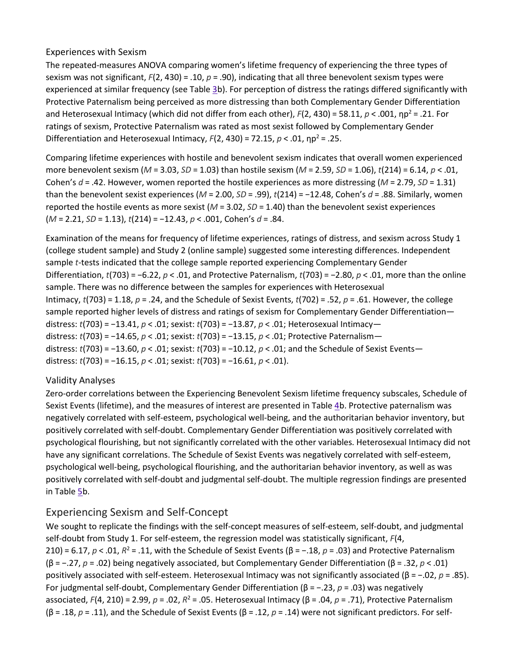#### Experiences with Sexism

The repeated-measures ANOVA comparing women's lifetime frequency of experiencing the three types of sexism was not significant, *F*(2, 430) = .10, *p* = .90), indicating that all three benevolent sexism types were experienced at similar frequency (see Table [3b](https://link.springer.com/article/10.1007/s11199-018-0933-5#Tab3)). For perception of distress the ratings differed significantly with Protective Paternalism being perceived as more distressing than both Complementary Gender Differentiation and Heterosexual Intimacy (which did not differ from each other), *F*(2, 430) = 58.11, *p* < .001, ηp<sup>2</sup> = .21. For ratings of sexism, Protective Paternalism was rated as most sexist followed by Complementary Gender Differentiation and Heterosexual Intimacy, *F*(2, 430) = 72.15, *p* < .01, ηp<sup>2</sup> = .25.

Comparing lifetime experiences with hostile and benevolent sexism indicates that overall women experienced more benevolent sexism (*M* = 3.03, *SD* = 1.03) than hostile sexism (*M* = 2.59, *SD* = 1.06), *t*(214) = 6.14, *p* < .01, Cohen's *d* = .42. However, women reported the hostile experiences as more distressing (*M* = 2.79, *SD* = 1.31) than the benevolent sexist experiences ( $M = 2.00$ ,  $SD = .99$ ),  $t(214) = -12.48$ , Cohen's  $d = .88$ . Similarly, women reported the hostile events as more sexist (*M* = 3.02, *SD* = 1.40) than the benevolent sexist experiences (*M* = 2.21, *SD* = 1.13), *t*(214) = −12.43, *p* < .001, Cohen's *d* = .84.

Examination of the means for frequency of lifetime experiences, ratings of distress, and sexism across Study 1 (college student sample) and Study 2 (online sample) suggested some interesting differences. Independent sample *t*-tests indicated that the college sample reported experiencing Complementary Gender Differentiation, *t*(703) = −6.22, *p* < .01, and Protective Paternalism, *t*(703) = −2.80, *p* < .01, more than the online sample. There was no difference between the samples for experiences with Heterosexual Intimacy, *t*(703) = 1.18, *p* = .24, and the Schedule of Sexist Events, *t*(702) = .52, *p* = .61. However, the college sample reported higher levels of distress and ratings of sexism for Complementary Gender Differentiation distress: *t*(703) = −13.41, *p* < .01; sexist: *t*(703) = −13.87, *p* < .01; Heterosexual Intimacy distress: *t*(703) = −14.65, *p* < .01; sexist: *t*(703) = −13.15, *p* < .01; Protective Paternalism distress: *t*(703) = −13.60, *p* < .01; sexist: *t*(703) = −10.12, *p* < .01; and the Schedule of Sexist Events distress: *t*(703) = −16.15, *p* < .01; sexist: *t*(703) = −16.61, *p* < .01).

#### Validity Analyses

Zero-order correlations between the Experiencing Benevolent Sexism lifetime frequency subscales, Schedule of Sexist Events (lifetime), and the measures of interest are presented in Table [4b](https://link.springer.com/article/10.1007/s11199-018-0933-5#Tab4). Protective paternalism was negatively correlated with self-esteem, psychological well-being, and the authoritarian behavior inventory, but positively correlated with self-doubt. Complementary Gender Differentiation was positively correlated with psychological flourishing, but not significantly correlated with the other variables. Heterosexual Intimacy did not have any significant correlations. The Schedule of Sexist Events was negatively correlated with self-esteem, psychological well-being, psychological flourishing, and the authoritarian behavior inventory, as well as was positively correlated with self-doubt and judgmental self-doubt. The multiple regression findings are presented in Table [5b](https://link.springer.com/article/10.1007/s11199-018-0933-5#Tab5).

#### Experiencing Sexism and Self-Concept

We sought to replicate the findings with the self-concept measures of self-esteem, self-doubt, and judgmental self-doubt from Study 1. For self-esteem, the regression model was statistically significant, *F*(4, 210) = 6.17, *p* < .01, *R*<sup>2</sup> = .11, with the Schedule of Sexist Events (β = −.18, *p* = .03) and Protective Paternalism (β = −.27, *p* = .02) being negatively associated, but Complementary Gender Differentiation (β = .32, *p* < .01) positively associated with self-esteem. Heterosexual Intimacy was not significantly associated (β = −.02, *p* = .85). For judgmental self-doubt, Complementary Gender Differentiation (β = −.23, *p* = .03) was negatively associated, *F*(4, 210) = 2.99, *p* = .02, *R*<sup>2</sup> = .05. Heterosexual Intimacy (β = .04, *p* = .71), Protective Paternalism (β = .18, *p* = .11), and the Schedule of Sexist Events (β = .12, *p* = .14) were not significant predictors. For self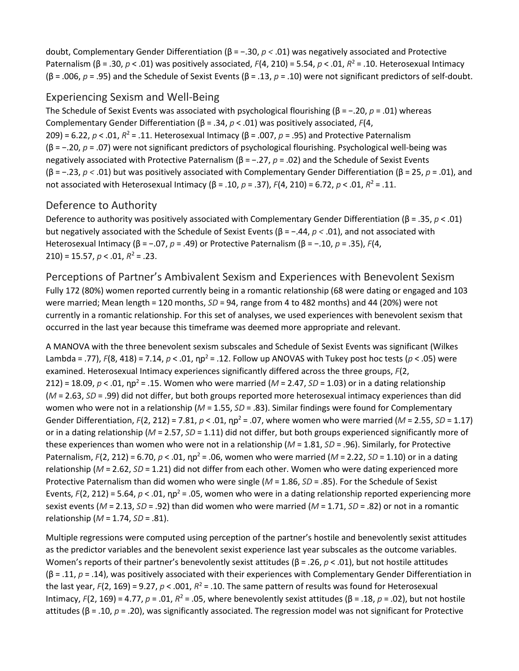doubt, Complementary Gender Differentiation (β = −.30, *p <* .01) was negatively associated and Protective Paternalism (β = .30, *p* < .01) was positively associated, *F*(4, 210) = 5.54, *p* < .01, *R*<sup>2</sup> = .10. Heterosexual Intimacy (β = .006, *p* = .95) and the Schedule of Sexist Events (β = .13, *p* = .10) were not significant predictors of self-doubt.

#### Experiencing Sexism and Well-Being

The Schedule of Sexist Events was associated with psychological flourishing (β = −.20, *p* = .01) whereas Complementary Gender Differentiation (β = .34, *p* < .01) was positively associated, *F*(4, 209) = 6.22, *p* < .01, *R*<sup>2</sup> = .11. Heterosexual Intimacy (β = .007, *p* = .95) and Protective Paternalism (β = −.20, *p* = .07) were not significant predictors of psychological flourishing. Psychological well-being was negatively associated with Protective Paternalism (β = −.27, *p* = .02) and the Schedule of Sexist Events (β = −.23, *p <* .01) but was positively associated with Complementary Gender Differentiation (β = 25, *p* = .01), and not associated with Heterosexual Intimacy (β = .10, *p* = .37), *F*(4, 210) = 6.72, *p* < .01, *R*<sup>2</sup> = .11.

### Deference to Authority

Deference to authority was positively associated with Complementary Gender Differentiation (β = .35, *p* < .01) but negatively associated with the Schedule of Sexist Events (β = −.44, *p <* .01), and not associated with Heterosexual Intimacy (β = −.07, *p* = .49) or Protective Paternalism (β = −.10, *p* = .35), *F*(4, 210) = 15.57, *p* < .01, *R*<sup>2</sup> = .23.

Perceptions of Partner's Ambivalent Sexism and Experiences with Benevolent Sexism Fully 172 (80%) women reported currently being in a romantic relationship (68 were dating or engaged and 103 were married; Mean length = 120 months, *SD* = 94, range from 4 to 482 months) and 44 (20%) were not currently in a romantic relationship. For this set of analyses, we used experiences with benevolent sexism that occurred in the last year because this timeframe was deemed more appropriate and relevant.

A MANOVA with the three benevolent sexism subscales and Schedule of Sexist Events was significant (Wilkes Lambda = .77), *F*(8, 418) = 7.14, *p* < .01, ɳp2 = .12. Follow up ANOVAS with Tukey post hoc tests (*p* < .05) were examined. Heterosexual Intimacy experiences significantly differed across the three groups, *F*(2, 212) = 18.09, *p* < .01, ɳp2 = .15. Women who were married (*M* = 2.47, *SD* = 1.03) or in a dating relationship (*M* = 2.63, *SD* = .99) did not differ, but both groups reported more heterosexual intimacy experiences than did women who were not in a relationship ( $M = 1.55$ ,  $SD = .83$ ). Similar findings were found for Complementary Gender Differentiation, *F*(2, 212) = 7.81, *p* < .01, ɳp2 = .07, where women who were married (*M* = 2.55, *SD* = 1.17) or in a dating relationship (*M* = 2.57, *SD* = 1.11) did not differ, but both groups experienced significantly more of these experiences than women who were not in a relationship (*M* = 1.81, *SD* = .96). Similarly, for Protective Paternalism, *F*(2, 212) = 6.70, *p* < .01, ɳp2 = .06, women who were married (*M* = 2.22, *SD* = 1.10) or in a dating relationship (*M* = 2.62, *SD* = 1.21) did not differ from each other. Women who were dating experienced more Protective Paternalism than did women who were single (*M* = 1.86, *SD* = .85). For the Schedule of Sexist Events,  $F(2, 212) = 5.64$ ,  $p < .01$ ,  $np^2 = .05$ , women who were in a dating relationship reported experiencing more sexist events (*M* = 2.13, *SD* = .92) than did women who were married (*M* = 1.71, *SD* = .82) or not in a romantic relationship (*M* = 1.74, *SD* = .81).

Multiple regressions were computed using perception of the partner's hostile and benevolently sexist attitudes as the predictor variables and the benevolent sexist experience last year subscales as the outcome variables. Women's reports of their partner's benevolently sexist attitudes (β = .26, *p* < .01), but not hostile attitudes (β = .11, *p* = .14), was positively associated with their experiences with Complementary Gender Differentiation in the last year,  $F(2, 169) = 9.27$ ,  $p < .001$ ,  $R^2 = .10$ . The same pattern of results was found for Heterosexual Intimacy, *F*(2, 169) = 4.77, *p* = .01, *R*<sup>2</sup> = .05, where benevolently sexist attitudes (β = .18, *p* = .02), but not hostile attitudes (β = .10, *p* = .20), was significantly associated. The regression model was not significant for Protective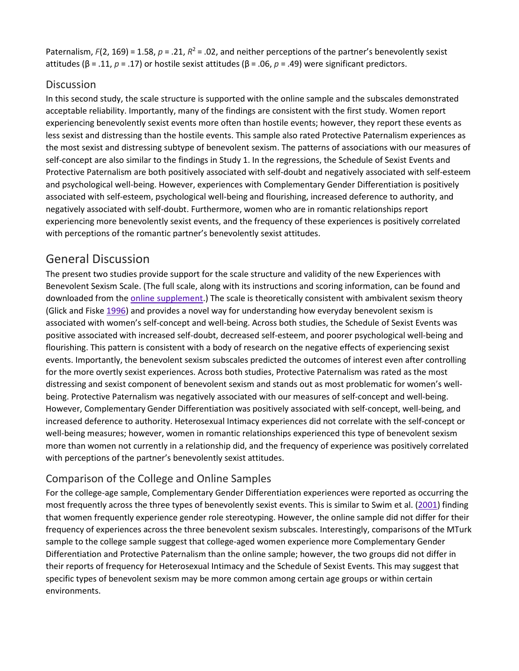Paternalism,  $F(2, 169) = 1.58$ ,  $p = .21$ ,  $R^2 = .02$ , and neither perceptions of the partner's benevolently sexist attitudes (β = .11, *p* = .17) or hostile sexist attitudes (β = .06, *p* = .49) were significant predictors.

#### **Discussion**

In this second study, the scale structure is supported with the online sample and the subscales demonstrated acceptable reliability. Importantly, many of the findings are consistent with the first study. Women report experiencing benevolently sexist events more often than hostile events; however, they report these events as less sexist and distressing than the hostile events. This sample also rated Protective Paternalism experiences as the most sexist and distressing subtype of benevolent sexism. The patterns of associations with our measures of self-concept are also similar to the findings in Study 1. In the regressions, the Schedule of Sexist Events and Protective Paternalism are both positively associated with self-doubt and negatively associated with self-esteem and psychological well-being. However, experiences with Complementary Gender Differentiation is positively associated with self-esteem, psychological well-being and flourishing, increased deference to authority, and negatively associated with self-doubt. Furthermore, women who are in romantic relationships report experiencing more benevolently sexist events, and the frequency of these experiences is positively correlated with perceptions of the romantic partner's benevolently sexist attitudes.

## General Discussion

The present two studies provide support for the scale structure and validity of the new Experiences with Benevolent Sexism Scale. (The full scale, along with its instructions and scoring information, can be found and downloaded from the [online supplement.](https://link.springer.com/article/10.1007/s11199-018-0933-5#Sec37)) The scale is theoretically consistent with ambivalent sexism theory (Glick and Fiske [1996\)](https://link.springer.com/article/10.1007/s11199-018-0933-5#CR23) and provides a novel way for understanding how everyday benevolent sexism is associated with women's self-concept and well-being. Across both studies, the Schedule of Sexist Events was positive associated with increased self-doubt, decreased self-esteem, and poorer psychological well-being and flourishing. This pattern is consistent with a body of research on the negative effects of experiencing sexist events. Importantly, the benevolent sexism subscales predicted the outcomes of interest even after controlling for the more overtly sexist experiences. Across both studies, Protective Paternalism was rated as the most distressing and sexist component of benevolent sexism and stands out as most problematic for women's wellbeing. Protective Paternalism was negatively associated with our measures of self-concept and well-being. However, Complementary Gender Differentiation was positively associated with self-concept, well-being, and increased deference to authority. Heterosexual Intimacy experiences did not correlate with the self-concept or well-being measures; however, women in romantic relationships experienced this type of benevolent sexism more than women not currently in a relationship did, and the frequency of experience was positively correlated with perceptions of the partner's benevolently sexist attitudes.

## Comparison of the College and Online Samples

For the college-age sample, Complementary Gender Differentiation experiences were reported as occurring the most frequently across the three types of benevolently sexist events. This is similar to Swim et al. [\(2001\)](https://link.springer.com/article/10.1007/s11199-018-0933-5#CR62) finding that women frequently experience gender role stereotyping. However, the online sample did not differ for their frequency of experiences across the three benevolent sexism subscales. Interestingly, comparisons of the MTurk sample to the college sample suggest that college-aged women experience more Complementary Gender Differentiation and Protective Paternalism than the online sample; however, the two groups did not differ in their reports of frequency for Heterosexual Intimacy and the Schedule of Sexist Events. This may suggest that specific types of benevolent sexism may be more common among certain age groups or within certain environments.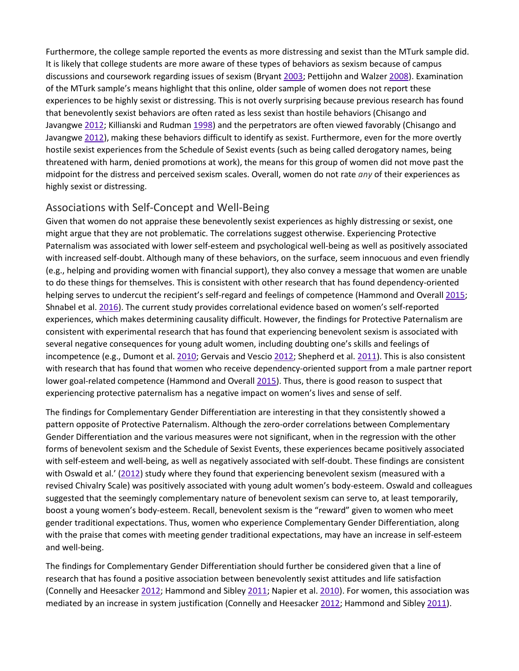Furthermore, the college sample reported the events as more distressing and sexist than the MTurk sample did. It is likely that college students are more aware of these types of behaviors as sexism because of campus discussions and coursework regarding issues of sexism (Bryant [2003;](https://link.springer.com/article/10.1007/s11199-018-0933-5#CR11) Pettijohn and Walzer [2008\)](https://link.springer.com/article/10.1007/s11199-018-0933-5#CR53). Examination of the MTurk sample's means highlight that this online, older sample of women does not report these experiences to be highly sexist or distressing. This is not overly surprising because previous research has found that benevolently sexist behaviors are often rated as less sexist than hostile behaviors (Chisango and Javangwe [2012;](https://link.springer.com/article/10.1007/s11199-018-0933-5#CR14) Killianski and Rudman [1998\)](https://link.springer.com/article/10.1007/s11199-018-0933-5#CR35) and the perpetrators are often viewed favorably (Chisango and Javangwe [2012\)](https://link.springer.com/article/10.1007/s11199-018-0933-5#CR14), making these behaviors difficult to identify as sexist. Furthermore, even for the more overtly hostile sexist experiences from the Schedule of Sexist events (such as being called derogatory names, being threatened with harm, denied promotions at work), the means for this group of women did not move past the midpoint for the distress and perceived sexism scales. Overall, women do not rate *any* of their experiences as highly sexist or distressing.

#### Associations with Self-Concept and Well-Being

Given that women do not appraise these benevolently sexist experiences as highly distressing or sexist, one might argue that they are not problematic. The correlations suggest otherwise. Experiencing Protective Paternalism was associated with lower self-esteem and psychological well-being as well as positively associated with increased self-doubt. Although many of these behaviors, on the surface, seem innocuous and even friendly (e.g., helping and providing women with financial support), they also convey a message that women are unable to do these things for themselves. This is consistent with other research that has found dependency-oriented helping serves to undercut the recipient's self-regard and feelings of competence (Hammond and Overall [2015;](https://link.springer.com/article/10.1007/s11199-018-0933-5#CR27) Shnabel et al. [2016\)](https://link.springer.com/article/10.1007/s11199-018-0933-5#CR60). The current study provides correlational evidence based on women's self-reported experiences, which makes determining causality difficult. However, the findings for Protective Paternalism are consistent with experimental research that has found that experiencing benevolent sexism is associated with several negative consequences for young adult women, including doubting one's skills and feelings of incompetence (e.g., Dumont et al. [2010;](https://link.springer.com/article/10.1007/s11199-018-0933-5#CR19) Gervais and Vescio [2012;](https://link.springer.com/article/10.1007/s11199-018-0933-5#CR22) Shepherd et al. [2011\)](https://link.springer.com/article/10.1007/s11199-018-0933-5#CR59). This is also consistent with research that has found that women who receive dependency-oriented support from a male partner report lower goal-related competence (Hammond and Overall [2015\)](https://link.springer.com/article/10.1007/s11199-018-0933-5#CR27). Thus, there is good reason to suspect that experiencing protective paternalism has a negative impact on women's lives and sense of self.

The findings for Complementary Gender Differentiation are interesting in that they consistently showed a pattern opposite of Protective Paternalism. Although the zero-order correlations between Complementary Gender Differentiation and the various measures were not significant, when in the regression with the other forms of benevolent sexism and the Schedule of Sexist Events, these experiences became positively associated with self-esteem and well-being, as well as negatively associated with self-doubt. These findings are consistent with Oswald et al.' [\(2012\)](https://link.springer.com/article/10.1007/s11199-018-0933-5#CR52) study where they found that experiencing benevolent sexism (measured with a revised Chivalry Scale) was positively associated with young adult women's body-esteem. Oswald and colleagues suggested that the seemingly complementary nature of benevolent sexism can serve to, at least temporarily, boost a young women's body-esteem. Recall, benevolent sexism is the "reward" given to women who meet gender traditional expectations. Thus, women who experience Complementary Gender Differentiation, along with the praise that comes with meeting gender traditional expectations, may have an increase in self-esteem and well-being.

The findings for Complementary Gender Differentiation should further be considered given that a line of research that has found a positive association between benevolently sexist attitudes and life satisfaction (Connelly and Heesacker [2012;](https://link.springer.com/article/10.1007/s11199-018-0933-5#CR15) Hammond and Sibley [2011;](https://link.springer.com/article/10.1007/s11199-018-0933-5#CR28) Napier et al. [2010\)](https://link.springer.com/article/10.1007/s11199-018-0933-5#CR50). For women, this association was mediated by an increase in system justification (Connelly and Heesacker [2012;](https://link.springer.com/article/10.1007/s11199-018-0933-5#CR15) Hammond and Sibley [2011\)](https://link.springer.com/article/10.1007/s11199-018-0933-5#CR28).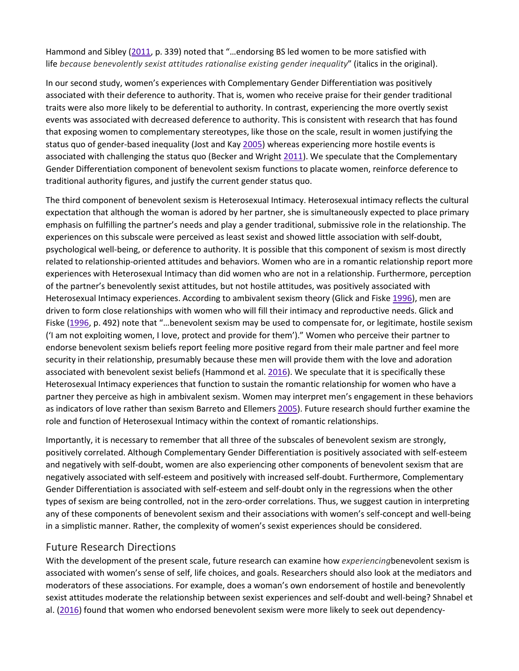Hammond and Sibley [\(2011,](https://link.springer.com/article/10.1007/s11199-018-0933-5#CR28) p. 339) noted that "...endorsing BS led women to be more satisfied with life *because benevolently sexist attitudes rationalise existing gender inequality*" (italics in the original).

In our second study, women's experiences with Complementary Gender Differentiation was positively associated with their deference to authority. That is, women who receive praise for their gender traditional traits were also more likely to be deferential to authority. In contrast, experiencing the more overtly sexist events was associated with decreased deference to authority. This is consistent with research that has found that exposing women to complementary stereotypes, like those on the scale, result in women justifying the status quo of gender-based inequality (Jost and Kay [2005\)](https://link.springer.com/article/10.1007/s11199-018-0933-5#CR34) whereas experiencing more hostile events is associated with challenging the status quo (Becker and Wright [2011\)](https://link.springer.com/article/10.1007/s11199-018-0933-5#CR7). We speculate that the Complementary Gender Differentiation component of benevolent sexism functions to placate women, reinforce deference to traditional authority figures, and justify the current gender status quo.

The third component of benevolent sexism is Heterosexual Intimacy. Heterosexual intimacy reflects the cultural expectation that although the woman is adored by her partner, she is simultaneously expected to place primary emphasis on fulfilling the partner's needs and play a gender traditional, submissive role in the relationship. The experiences on this subscale were perceived as least sexist and showed little association with self-doubt, psychological well-being, or deference to authority. It is possible that this component of sexism is most directly related to relationship-oriented attitudes and behaviors. Women who are in a romantic relationship report more experiences with Heterosexual Intimacy than did women who are not in a relationship. Furthermore, perception of the partner's benevolently sexist attitudes, but not hostile attitudes, was positively associated with Heterosexual Intimacy experiences. According to ambivalent sexism theory (Glick and Fiske [1996\)](https://link.springer.com/article/10.1007/s11199-018-0933-5#CR23), men are driven to form close relationships with women who will fill their intimacy and reproductive needs. Glick and Fiske [\(1996,](https://link.springer.com/article/10.1007/s11199-018-0933-5#CR23) p. 492) note that "…benevolent sexism may be used to compensate for, or legitimate, hostile sexism ('I am not exploiting women, I love, protect and provide for them')." Women who perceive their partner to endorse benevolent sexism beliefs report feeling more positive regard from their male partner and feel more security in their relationship, presumably because these men will provide them with the love and adoration associated with benevolent sexist beliefs (Hammond et al. [2016\)](https://link.springer.com/article/10.1007/s11199-018-0933-5#CR30). We speculate that it is specifically these Heterosexual Intimacy experiences that function to sustain the romantic relationship for women who have a partner they perceive as high in ambivalent sexism. Women may interpret men's engagement in these behaviors as indicators of love rather than sexism Barreto and Ellemers [2005\)](https://link.springer.com/article/10.1007/s11199-018-0933-5#CR4). Future research should further examine the role and function of Heterosexual Intimacy within the context of romantic relationships.

Importantly, it is necessary to remember that all three of the subscales of benevolent sexism are strongly, positively correlated. Although Complementary Gender Differentiation is positively associated with self-esteem and negatively with self-doubt, women are also experiencing other components of benevolent sexism that are negatively associated with self-esteem and positively with increased self-doubt. Furthermore, Complementary Gender Differentiation is associated with self-esteem and self-doubt only in the regressions when the other types of sexism are being controlled, not in the zero-order correlations. Thus, we suggest caution in interpreting any of these components of benevolent sexism and their associations with women's self-concept and well-being in a simplistic manner. Rather, the complexity of women's sexist experiences should be considered.

#### Future Research Directions

With the development of the present scale, future research can examine how *experiencing*benevolent sexism is associated with women's sense of self, life choices, and goals. Researchers should also look at the mediators and moderators of these associations. For example, does a woman's own endorsement of hostile and benevolently sexist attitudes moderate the relationship between sexist experiences and self-doubt and well-being? Shnabel et al. [\(2016\)](https://link.springer.com/article/10.1007/s11199-018-0933-5#CR60) found that women who endorsed benevolent sexism were more likely to seek out dependency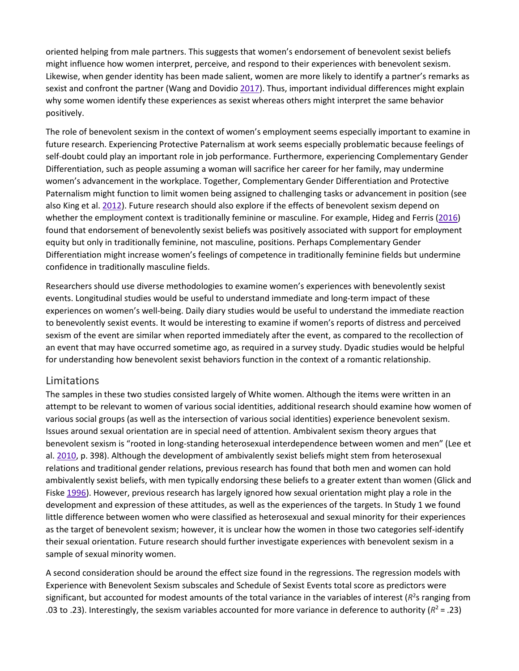oriented helping from male partners. This suggests that women's endorsement of benevolent sexist beliefs might influence how women interpret, perceive, and respond to their experiences with benevolent sexism. Likewise, when gender identity has been made salient, women are more likely to identify a partner's remarks as sexist and confront the partner (Wang and Dovidio [2017\)](https://link.springer.com/article/10.1007/s11199-018-0933-5#CR68). Thus, important individual differences might explain why some women identify these experiences as sexist whereas others might interpret the same behavior positively.

The role of benevolent sexism in the context of women's employment seems especially important to examine in future research. Experiencing Protective Paternalism at work seems especially problematic because feelings of self-doubt could play an important role in job performance. Furthermore, experiencing Complementary Gender Differentiation, such as people assuming a woman will sacrifice her career for her family, may undermine women's advancement in the workplace. Together, Complementary Gender Differentiation and Protective Paternalism might function to limit women being assigned to challenging tasks or advancement in position (see also King et al. [2012\)](https://link.springer.com/article/10.1007/s11199-018-0933-5#CR36). Future research should also explore if the effects of benevolent sexism depend on whether the employment context is traditionally feminine or masculine. For example, Hideg and Ferris [\(2016\)](https://link.springer.com/article/10.1007/s11199-018-0933-5#CR31) found that endorsement of benevolently sexist beliefs was positively associated with support for employment equity but only in traditionally feminine, not masculine, positions. Perhaps Complementary Gender Differentiation might increase women's feelings of competence in traditionally feminine fields but undermine confidence in traditionally masculine fields.

Researchers should use diverse methodologies to examine women's experiences with benevolently sexist events. Longitudinal studies would be useful to understand immediate and long-term impact of these experiences on women's well-being. Daily diary studies would be useful to understand the immediate reaction to benevolently sexist events. It would be interesting to examine if women's reports of distress and perceived sexism of the event are similar when reported immediately after the event, as compared to the recollection of an event that may have occurred sometime ago, as required in a survey study. Dyadic studies would be helpful for understanding how benevolent sexist behaviors function in the context of a romantic relationship.

#### Limitations

The samples in these two studies consisted largely of White women. Although the items were written in an attempt to be relevant to women of various social identities, additional research should examine how women of various social groups (as well as the intersection of various social identities) experience benevolent sexism. Issues around sexual orientation are in special need of attention. Ambivalent sexism theory argues that benevolent sexism is "rooted in long-standing heterosexual interdependence between women and men" (Lee et al. [2010,](https://link.springer.com/article/10.1007/s11199-018-0933-5#CR41) p. 398). Although the development of ambivalently sexist beliefs might stem from heterosexual relations and traditional gender relations, previous research has found that both men and women can hold ambivalently sexist beliefs, with men typically endorsing these beliefs to a greater extent than women (Glick and Fiske [1996\)](https://link.springer.com/article/10.1007/s11199-018-0933-5#CR23). However, previous research has largely ignored how sexual orientation might play a role in the development and expression of these attitudes, as well as the experiences of the targets. In Study 1 we found little difference between women who were classified as heterosexual and sexual minority for their experiences as the target of benevolent sexism; however, it is unclear how the women in those two categories self-identify their sexual orientation. Future research should further investigate experiences with benevolent sexism in a sample of sexual minority women.

A second consideration should be around the effect size found in the regressions. The regression models with Experience with Benevolent Sexism subscales and Schedule of Sexist Events total score as predictors were significant, but accounted for modest amounts of the total variance in the variables of interest ( $R^2$ s ranging from .03 to .23). Interestingly, the sexism variables accounted for more variance in deference to authority ( $R^2$  = .23)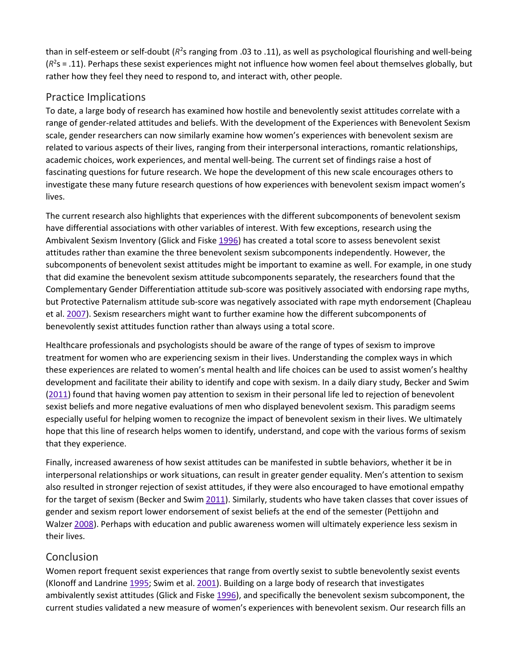than in self-esteem or self-doubt ( $R^2$ s ranging from .03 to .11), as well as psychological flourishing and well-being  $(R<sup>2</sup>s = .11)$ . Perhaps these sexist experiences might not influence how women feel about themselves globally, but rather how they feel they need to respond to, and interact with, other people.

#### Practice Implications

To date, a large body of research has examined how hostile and benevolently sexist attitudes correlate with a range of gender-related attitudes and beliefs. With the development of the Experiences with Benevolent Sexism scale, gender researchers can now similarly examine how women's experiences with benevolent sexism are related to various aspects of their lives, ranging from their interpersonal interactions, romantic relationships, academic choices, work experiences, and mental well-being. The current set of findings raise a host of fascinating questions for future research. We hope the development of this new scale encourages others to investigate these many future research questions of how experiences with benevolent sexism impact women's lives.

The current research also highlights that experiences with the different subcomponents of benevolent sexism have differential associations with other variables of interest. With few exceptions, research using the Ambivalent Sexism Inventory (Glick and Fiske [1996\)](https://link.springer.com/article/10.1007/s11199-018-0933-5#CR23) has created a total score to assess benevolent sexist attitudes rather than examine the three benevolent sexism subcomponents independently. However, the subcomponents of benevolent sexist attitudes might be important to examine as well. For example, in one study that did examine the benevolent sexism attitude subcomponents separately, the researchers found that the Complementary Gender Differentiation attitude sub-score was positively associated with endorsing rape myths, but Protective Paternalism attitude sub-score was negatively associated with rape myth endorsement (Chapleau et al. [2007\)](https://link.springer.com/article/10.1007/s11199-018-0933-5#CR13). Sexism researchers might want to further examine how the different subcomponents of benevolently sexist attitudes function rather than always using a total score.

Healthcare professionals and psychologists should be aware of the range of types of sexism to improve treatment for women who are experiencing sexism in their lives. Understanding the complex ways in which these experiences are related to women's mental health and life choices can be used to assist women's healthy development and facilitate their ability to identify and cope with sexism. In a daily diary study, Becker and Swim [\(2011\)](https://link.springer.com/article/10.1007/s11199-018-0933-5#CR6) found that having women pay attention to sexism in their personal life led to rejection of benevolent sexist beliefs and more negative evaluations of men who displayed benevolent sexism. This paradigm seems especially useful for helping women to recognize the impact of benevolent sexism in their lives. We ultimately hope that this line of research helps women to identify, understand, and cope with the various forms of sexism that they experience.

Finally, increased awareness of how sexist attitudes can be manifested in subtle behaviors, whether it be in interpersonal relationships or work situations, can result in greater gender equality. Men's attention to sexism also resulted in stronger rejection of sexist attitudes, if they were also encouraged to have emotional empathy for the target of sexism (Becker and Swim [2011\)](https://link.springer.com/article/10.1007/s11199-018-0933-5#CR6). Similarly, students who have taken classes that cover issues of gender and sexism report lower endorsement of sexist beliefs at the end of the semester (Pettijohn and Walzer [2008\)](https://link.springer.com/article/10.1007/s11199-018-0933-5#CR53). Perhaps with education and public awareness women will ultimately experience less sexism in their lives.

#### **Conclusion**

Women report frequent sexist experiences that range from overtly sexist to subtle benevolently sexist events (Klonoff and Landrine [1995;](https://link.springer.com/article/10.1007/s11199-018-0933-5#CR37) Swim et al. [2001\)](https://link.springer.com/article/10.1007/s11199-018-0933-5#CR62). Building on a large body of research that investigates ambivalently sexist attitudes (Glick and Fiske [1996\)](https://link.springer.com/article/10.1007/s11199-018-0933-5#CR23), and specifically the benevolent sexism subcomponent, the current studies validated a new measure of women's experiences with benevolent sexism. Our research fills an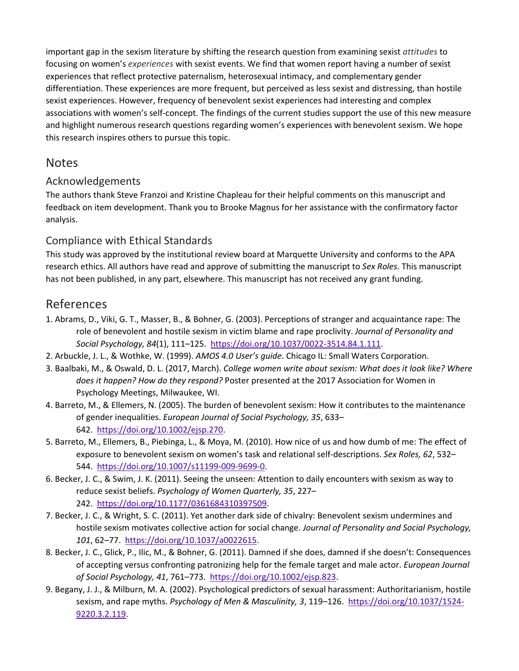important gap in the sexism literature by shifting the research question from examining sexist *attitudes* to focusing on women's *experiences* with sexist events. We find that women report having a number of sexist experiences that reflect protective paternalism, heterosexual intimacy, and complementary gender differentiation. These experiences are more frequent, but perceived as less sexist and distressing, than hostile sexist experiences. However, frequency of benevolent sexist experiences had interesting and complex associations with women's self-concept. The findings of the current studies support the use of this new measure and highlight numerous research questions regarding women's experiences with benevolent sexism. We hope this research inspires others to pursue this topic.

## **Notes**

#### Acknowledgements

The authors thank Steve Franzoi and Kristine Chapleau for their helpful comments on this manuscript and feedback on item development. Thank you to Brooke Magnus for her assistance with the confirmatory factor analysis.

#### Compliance with Ethical Standards

This study was approved by the institutional review board at Marquette University and conforms to the APA research ethics. All authors have read and approve of submitting the manuscript to *Sex Roles.* This manuscript has not been published, in any part, elsewhere. This manuscript has not received any grant funding.

## References

- 1. Abrams, D., Viki, G. T., Masser, B., & Bohner, G. (2003). Perceptions of stranger and acquaintance rape: The role of benevolent and hostile sexism in victim blame and rape proclivity. *Journal of Personality and Social Psychology, 84*(1), 111–125. [https://doi.org/10.1037/0022-3514.84.1.111.](https://doi.org/10.1037/0022-3514.84.1.111)
- 2. Arbuckle, J. L., & Wothke, W. (1999). *AMOS 4.0 User's guide*. Chicago IL: Small Waters Corporation.
- 3. Baalbaki, M., & Oswald, D. L. (2017, March). *College women write about sexism: What does it look like? Where does it happen? How do they respond?* Poster presented at the 2017 Association for Women in Psychology Meetings, Milwaukee, WI.
- 4. Barreto, M., & Ellemers, N. (2005). The burden of benevolent sexism: How it contributes to the maintenance of gender inequalities. *European Journal of Social Psychology, 35*, 633– 642. [https://doi.org/10.1002/ejsp.270.](https://doi.org/10.1002/ejsp.270)
- 5. Barreto, M., Ellemers, B., Piebinga, L., & Moya, M. (2010). How nice of us and how dumb of me: The effect of exposure to benevolent sexism on women's task and relational self-descriptions. *Sex Roles, 62*, 532– 544. [https://doi.org/10.1007/s11199-009-9699-0.](https://doi.org/10.1007/s11199-009-9699-0)
- 6. Becker, J. C., & Swim, J. K. (2011). Seeing the unseen: Attention to daily encounters with sexism as way to reduce sexist beliefs. *Psychology of Women Quarterly, 35*, 227– 242. [https://doi.org/10.1177/0361684310397509.](https://doi.org/10.1177/0361684310397509)
- 7. Becker, J. C., & Wright, S. C. (2011). Yet another dark side of chivalry: Benevolent sexism undermines and hostile sexism motivates collective action for social change. *Journal of Personality and Social Psychology, 101*, 62–77. [https://doi.org/10.1037/a0022615.](https://doi.org/10.1037/a0022615)
- 8. Becker, J. C., Glick, P., Ilic, M., & Bohner, G. (2011). Damned if she does, damned if she doesn't: Consequences of accepting versus confronting patronizing help for the female target and male actor. *European Journal of Social Psychology, 41*, 761–773. [https://doi.org/10.1002/ejsp.823.](https://doi.org/10.1002/ejsp.823)
- 9. Begany, J. J., & Milburn, M. A. (2002). Psychological predictors of sexual harassment: Authoritarianism, hostile sexism, and rape myths. *Psychology of Men & Masculinity, 3*, 119–126. [https://doi.org/10.1037/1524-](https://doi.org/10.1037/1524-9220.3.2.119) [9220.3.2.119.](https://doi.org/10.1037/1524-9220.3.2.119)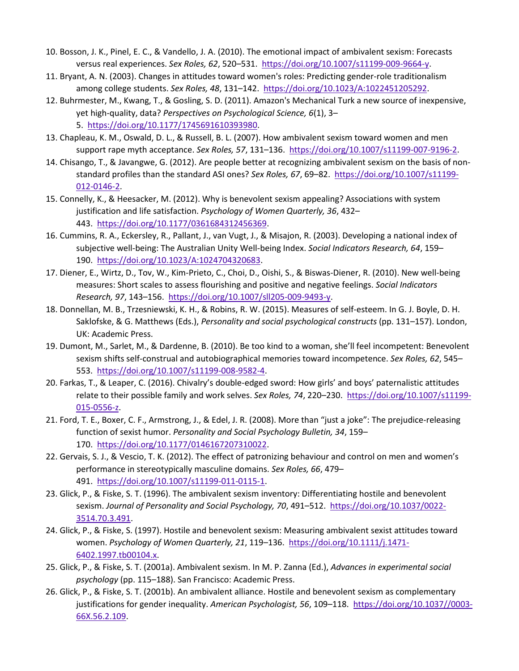- 10. Bosson, J. K., Pinel, E. C., & Vandello, J. A. (2010). The emotional impact of ambivalent sexism: Forecasts versus real experiences. *Sex Roles, 62*, 520–531. [https://doi.org/10.1007/s11199-009-9664-y.](https://doi.org/10.1007/s11199-009-9664-y)
- 11. Bryant, A. N. (2003). Changes in attitudes toward women's roles: Predicting gender-role traditionalism among college students. *Sex Roles, 48*, 131–142. [https://doi.org/10.1023/A:1022451205292.](https://doi.org/10.1023/A%3A1022451205292)
- 12. Buhrmester, M., Kwang, T., & Gosling, S. D. (2011). Amazon's Mechanical Turk a new source of inexpensive, yet high-quality, data? *Perspectives on Psychological Science, 6*(1), 3– 5. [https://doi.org/10.1177/1745691610393980.](https://doi.org/10.1177/1745691610393980)
- 13. Chapleau, K. M., Oswald, D. L., & Russell, B. L. (2007). How ambivalent sexism toward women and men support rape myth acceptance. *Sex Roles, 57*, 131–136. [https://doi.org/10.1007/s11199-007-9196-2.](https://doi.org/10.1007/s11199-007-9196-2)
- 14. Chisango, T., & Javangwe, G. (2012). Are people better at recognizing ambivalent sexism on the basis of nonstandard profiles than the standard ASI ones? *Sex Roles, 67*, 69–82. [https://doi.org/10.1007/s11199-](https://doi.org/10.1007/s11199-012-0146-2) [012-0146-2.](https://doi.org/10.1007/s11199-012-0146-2)
- 15. Connelly, K., & Heesacker, M. (2012). Why is benevolent sexism appealing? Associations with system justification and life satisfaction. *Psychology of Women Quarterly, 36*, 432– 443. [https://doi.org/10.1177/0361684312456369.](https://doi.org/10.1177/0361684312456369)
- 16. Cummins, R. A., Eckersley, R., Pallant, J., van Vugt, J., & Misajon, R. (2003). Developing a national index of subjective well-being: The Australian Unity Well-being Index. *Social Indicators Research, 64*, 159– 190. [https://doi.org/10.1023/A:1024704320683.](https://doi.org/10.1023/A%3A1024704320683)
- 17. Diener, E., Wirtz, D., Tov, W., Kim-Prieto, C., Choi, D., Oishi, S., & Biswas-Diener, R. (2010). New well-being measures: Short scales to assess flourishing and positive and negative feelings. *Social Indicators Research, 97*, 143–156. [https://doi.org/10.1007/sll205-009-9493-y.](https://doi.org/10.1007/sll205-009-9493-y)
- 18. Donnellan, M. B., Trzesniewski, K. H., & Robins, R. W. (2015). Measures of self-esteem. In G. J. Boyle, D. H. Saklofske, & G. Matthews (Eds.), *Personality and social psychological constructs* (pp. 131–157). London, UK: Academic Press.
- 19. Dumont, M., Sarlet, M., & Dardenne, B. (2010). Be too kind to a woman, she'll feel incompetent: Benevolent sexism shifts self-construal and autobiographical memories toward incompetence. *Sex Roles, 62*, 545– 553. [https://doi.org/10.1007/s11199-008-9582-4.](https://doi.org/10.1007/s11199-008-9582-4)
- 20. Farkas, T., & Leaper, C. (2016). Chivalry's double-edged sword: How girls' and boys' paternalistic attitudes relate to their possible family and work selves. *Sex Roles, 74*, 220–230. [https://doi.org/10.1007/s11199-](https://doi.org/10.1007/s11199-015-0556-z) [015-0556-z.](https://doi.org/10.1007/s11199-015-0556-z)
- 21. Ford, T. E., Boxer, C. F., Armstrong, J., & Edel, J. R. (2008). More than "just a joke": The prejudice-releasing function of sexist humor. *Personality and Social Psychology Bulletin, 34*, 159– 170. [https://doi.org/10.1177/0146167207310022.](https://doi.org/10.1177/0146167207310022)
- 22. Gervais, S. J., & Vescio, T. K. (2012). The effect of patronizing behaviour and control on men and women's performance in stereotypically masculine domains. *Sex Roles, 66*, 479– 491. [https://doi.org/10.1007/s11199-011-0115-1.](https://doi.org/10.1007/s11199-011-0115-1)
- 23. Glick, P., & Fiske, S. T. (1996). The ambivalent sexism inventory: Differentiating hostile and benevolent sexism. *Journal of Personality and Social Psychology, 70*, 491–512. [https://doi.org/10.1037/0022-](https://doi.org/10.1037/0022-3514.70.3.491) [3514.70.3.491.](https://doi.org/10.1037/0022-3514.70.3.491)
- 24. Glick, P., & Fiske, S. (1997). Hostile and benevolent sexism: Measuring ambivalent sexist attitudes toward women. *Psychology of Women Quarterly, 21*, 119–136. [https://doi.org/10.1111/j.1471-](https://doi.org/10.1111/j.1471-6402.1997.tb00104.x) [6402.1997.tb00104.x.](https://doi.org/10.1111/j.1471-6402.1997.tb00104.x)
- 25. Glick, P., & Fiske, S. T. (2001a). Ambivalent sexism. In M. P. Zanna (Ed.), *Advances in experimental social psychology* (pp. 115–188). San Francisco: Academic Press.
- 26. Glick, P., & Fiske, S. T. (2001b). An ambivalent alliance. Hostile and benevolent sexism as complementary justifications for gender inequality. *American Psychologist, 56*, 109–118. [https://doi.org/10.1037//0003-](https://doi.org/10.1037/0003-66X.56.2.109) [66X.56.2.109.](https://doi.org/10.1037/0003-66X.56.2.109)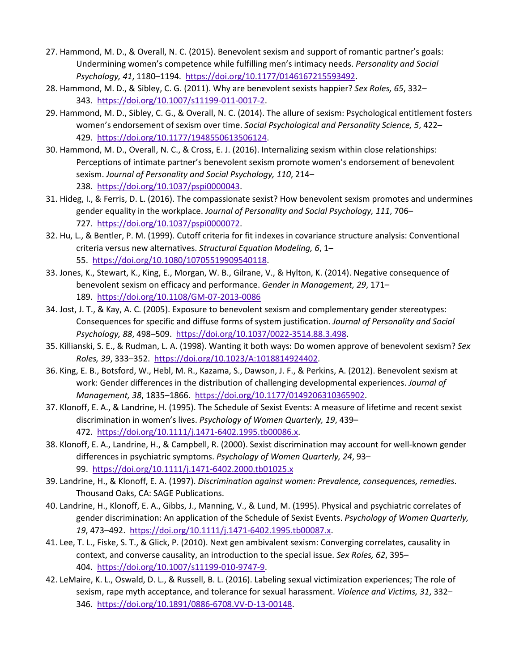- 27. Hammond, M. D., & Overall, N. C. (2015). Benevolent sexism and support of romantic partner's goals: Undermining women's competence while fulfilling men's intimacy needs. *Personality and Social Psychology, 41*, 1180–1194. [https://doi.org/10.1177/0146167215593492.](https://doi.org/10.1177/0146167215593492)
- 28. Hammond, M. D., & Sibley, C. G. (2011). Why are benevolent sexists happier? *Sex Roles, 65*, 332– 343. [https://doi.org/10.1007/s11199-011-0017-2.](https://doi.org/10.1007/s11199-011-0017-2)
- 29. Hammond, M. D., Sibley, C. G., & Overall, N. C. (2014). The allure of sexism: Psychological entitlement fosters women's endorsement of sexism over time. *Social Psychological and Personality Science, 5*, 422– 429. [https://doi.org/10.1177/1948550613506124.](https://doi.org/10.1177/1948550613506124)
- 30. Hammond, M. D., Overall, N. C., & Cross, E. J. (2016). Internalizing sexism within close relationships: Perceptions of intimate partner's benevolent sexism promote women's endorsement of benevolent sexism. *Journal of Personality and Social Psychology, 110*, 214– 238. [https://doi.org/10.1037/pspi0000043.](https://doi.org/10.1037/pspi0000043)
- 31. Hideg, I., & Ferris, D. L. (2016). The compassionate sexist? How benevolent sexism promotes and undermines gender equality in the workplace. *Journal of Personality and Social Psychology, 111*, 706– 727. [https://doi.org/10.1037/pspi0000072.](https://doi.org/10.1037/pspi0000072)
- 32. Hu, L., & Bentler, P. M. (1999). Cutoff criteria for fit indexes in covariance structure analysis: Conventional criteria versus new alternatives. *Structural Equation Modeling, 6*, 1– 55. [https://doi.org/10.1080/10705519909540118.](https://doi.org/10.1080/10705519909540118)
- 33. Jones, K., Stewart, K., King, E., Morgan, W. B., Gilrane, V., & Hylton, K. (2014). Negative consequence of benevolent sexism on efficacy and performance. *Gender in Management, 29*, 171– 189. <https://doi.org/10.1108/GM-07-2013-0086>
- 34. Jost, J. T., & Kay, A. C. (2005). Exposure to benevolent sexism and complementary gender stereotypes: Consequences for specific and diffuse forms of system justification. *Journal of Personality and Social Psychology, 88*, 498–509. [https://doi.org/10.1037/0022-3514.88.3.498.](https://doi.org/10.1037/0022-3514.88.3.498)
- 35. Killianski, S. E., & Rudman, L. A. (1998). Wanting it both ways: Do women approve of benevolent sexism? *Sex Roles, 39*, 333–352. [https://doi.org/10.1023/A:1018814924402.](https://doi.org/10.1023/A%3A1018814924402)
- 36. King, E. B., Botsford, W., Hebl, M. R., Kazama, S., Dawson, J. F., & Perkins, A. (2012). Benevolent sexism at work: Gender differences in the distribution of challenging developmental experiences. *Journal of Management, 38*, 1835–1866. [https://doi.org/10.1177/0149206310365902.](https://doi.org/10.1177/0149206310365902)
- 37. Klonoff, E. A., & Landrine, H. (1995). The Schedule of Sexist Events: A measure of lifetime and recent sexist discrimination in women's lives. *Psychology of Women Quarterly, 19*, 439– 472. [https://doi.org/10.1111/j.1471-6402.1995.tb00086.x.](https://doi.org/10.1111/j.1471-6402.1995.tb00086.x)
- 38. Klonoff, E. A., Landrine, H., & Campbell, R. (2000). Sexist discrimination may account for well-known gender differences in psychiatric symptoms. *Psychology of Women Quarterly, 24*, 93– 99. <https://doi.org/10.1111/j.1471-6402.2000.tb01025.x>
- 39. Landrine, H., & Klonoff, E. A. (1997). *Discrimination against women: Prevalence, consequences, remedies*. Thousand Oaks, CA: SAGE Publications.
- 40. Landrine, H., Klonoff, E. A., Gibbs, J., Manning, V., & Lund, M. (1995). Physical and psychiatric correlates of gender discrimination: An application of the Schedule of Sexist Events. *Psychology of Women Quarterly, 19*, 473–492. [https://doi.org/10.1111/j.1471-6402.1995.tb00087.x.](https://doi.org/10.1111/j.1471-6402.1995.tb00087.x)
- 41. Lee, T. L., Fiske, S. T., & Glick, P. (2010). Next gen ambivalent sexism: Converging correlates, causality in context, and converse causality, an introduction to the special issue. *Sex Roles, 62*, 395– 404. [https://doi.org/10.1007/s11199-010-9747-9.](https://doi.org/10.1007/s11199-010-9747-9)
- 42. LeMaire, K. L., Oswald, D. L., & Russell, B. L. (2016). Labeling sexual victimization experiences; The role of sexism, rape myth acceptance, and tolerance for sexual harassment. *Violence and Victims, 31*, 332– 346. [https://doi.org/10.1891/0886-6708.VV-D-13-00148.](https://doi.org/10.1891/0886-6708.VV-D-13-00148)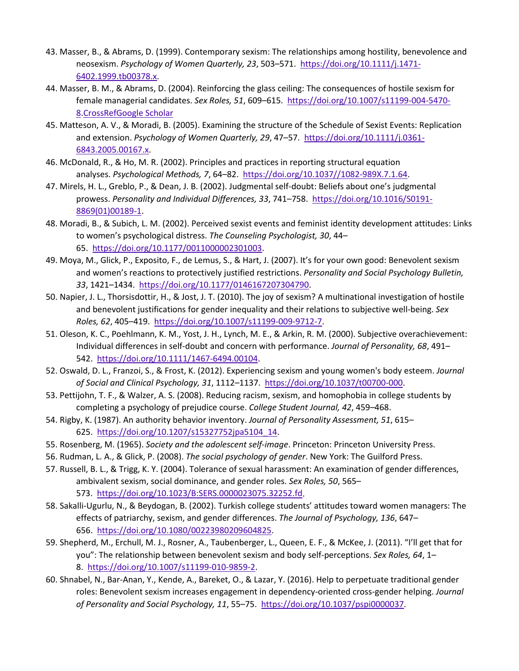- 43. Masser, B., & Abrams, D. (1999). Contemporary sexism: The relationships among hostility, benevolence and neosexism. *Psychology of Women Quarterly, 23*, 503–571. [https://doi.org/10.1111/j.1471-](https://doi.org/10.1111/j.1471-6402.1999.tb00378.x) [6402.1999.tb00378.x.](https://doi.org/10.1111/j.1471-6402.1999.tb00378.x)
- 44. Masser, B. M., & Abrams, D. (2004). Reinforcing the glass ceiling: The consequences of hostile sexism for female managerial candidates. *Sex Roles, 51*, 609–615. [https://doi.org/10.1007/s11199-004-5470-](https://doi.org/10.1007/s11199-004-5470-8) [8.CrossRef](https://doi.org/10.1007/s11199-004-5470-8)[Google Scholar](http://scholar.google.com/scholar_lookup?title=Reinforcing%20the%20glass%20ceiling%3A%20The%20consequences%20of%20hostile%20sexism%20for%20female%20managerial%20candidates&author=BM.%20Masser&author=D.%20Abrams&journal=Sex%20Roles&volume=51&pages=609-615&publication_year=2004&doi=10.1007%2Fs11199-004-5470-8)
- 45. Matteson, A. V., & Moradi, B. (2005). Examining the structure of the Schedule of Sexist Events: Replication and extension. *Psychology of Women Quarterly, 29*, 47–57. [https://doi.org/10.1111/j.0361-](https://doi.org/10.1111/j.0361-6843.2005.00167.x) [6843.2005.00167.x.](https://doi.org/10.1111/j.0361-6843.2005.00167.x)
- 46. McDonald, R., & Ho, M. R. (2002). Principles and practices in reporting structural equation analyses. *Psychological Methods, 7*, 64–82. [https://doi.org/10.1037//1082-989X.7.1.64.](https://doi.org/10.1037/1082-989X.7.1.64)
- 47. Mirels, H. L., Greblo, P., & Dean, J. B. (2002). Judgmental self-doubt: Beliefs about one's judgmental prowess. *Personality and Individual Differences, 33*, 741–758. [https://doi.org/10.1016/S0191-](https://doi.org/10.1016/S0191-8869(01)00189-1) [8869\(01\)00189-1.](https://doi.org/10.1016/S0191-8869(01)00189-1)
- 48. Moradi, B., & Subich, L. M. (2002). Perceived sexist events and feminist identity development attitudes: Links to women's psychological distress. *The Counseling Psychologist, 30*, 44– 65. [https://doi.org/10.1177/0011000002301003.](https://doi.org/10.1177/0011000002301003)
- 49. Moya, M., Glick, P., Exposito, F., de Lemus, S., & Hart, J. (2007). It's for your own good: Benevolent sexism and women's reactions to protectively justified restrictions. *Personality and Social Psychology Bulletin, 33*, 1421–1434. [https://doi.org/10.1177/0146167207304790.](https://doi.org/10.1177/0146167207304790)
- 50. Napier, J. L., Thorsisdottir, H., & Jost, J. T. (2010). The joy of sexism? A multinational investigation of hostile and benevolent justifications for gender inequality and their relations to subjective well-being. *Sex Roles, 62*, 405–419. [https://doi.org/10.1007/s11199-009-9712-7.](https://doi.org/10.1007/s11199-009-9712-7)
- 51. Oleson, K. C., Poehlmann, K. M., Yost, J. H., Lynch, M. E., & Arkin, R. M. (2000). Subjective overachievement: Individual differences in self-doubt and concern with performance. *Journal of Personality, 68*, 491– 542. [https://doi.org/10.1111/1467-6494.00104.](https://doi.org/10.1111/1467-6494.00104)
- 52. Oswald, D. L., Franzoi, S., & Frost, K. (2012). Experiencing sexism and young women's body esteem. *Journal of Social and Clinical Psychology, 31*, 1112–1137. [https://doi.org/10.1037/t00700-000.](https://doi.org/10.1037/t00700-000)
- 53. Pettijohn, T. F., & Walzer, A. S. (2008). Reducing racism, sexism, and homophobia in college students by completing a psychology of prejudice course. *College Student Journal, 42*, 459–468.
- 54. Rigby, K. (1987). An authority behavior inventory. *Journal of Personality Assessment, 51*, 615– 625. [https://doi.org/10.1207/s15327752jpa5104\\_14.](https://doi.org/10.1207/s15327752jpa5104_14)
- 55. Rosenberg, M. (1965). *Society and the adolescent self-image*. Princeton: Princeton University Press.
- 56. Rudman, L. A., & Glick, P. (2008). *The social psychology of gender*. New York: The Guilford Press.
- 57. Russell, B. L., & Trigg, K. Y. (2004). Tolerance of sexual harassment: An examination of gender differences, ambivalent sexism, social dominance, and gender roles. *Sex Roles, 50*, 565– 573. [https://doi.org/10.1023/B:SERS.0000023075.32252.fd.](https://doi.org/10.1023/B%3ASERS.0000023075.32252.fd)
- 58. Sakalli-Ugurlu, N., & Beydogan, B. (2002). Turkish college students' attitudes toward women managers: The effects of patriarchy, sexism, and gender differences. *The Journal of Psychology, 136*, 647– 656. [https://doi.org/10.1080/00223980209604825.](https://doi.org/10.1080/00223980209604825)
- 59. Shepherd, M., Erchull, M. J., Rosner, A., Taubenberger, L., Queen, E. F., & McKee, J. (2011). "I'll get that for you": The relationship between benevolent sexism and body self-perceptions. *Sex Roles, 64*, 1– 8. [https://doi.org/10.1007/s11199-010-9859-2.](https://doi.org/10.1007/s11199-010-9859-2)
- 60. Shnabel, N., Bar-Anan, Y., Kende, A., Bareket, O., & Lazar, Y. (2016). Help to perpetuate traditional gender roles: Benevolent sexism increases engagement in dependency-oriented cross-gender helping. *Journal of Personality and Social Psychology, 11*, 55–75. [https://doi.org/10.1037/pspi0000037.](https://doi.org/10.1037/pspi0000037)